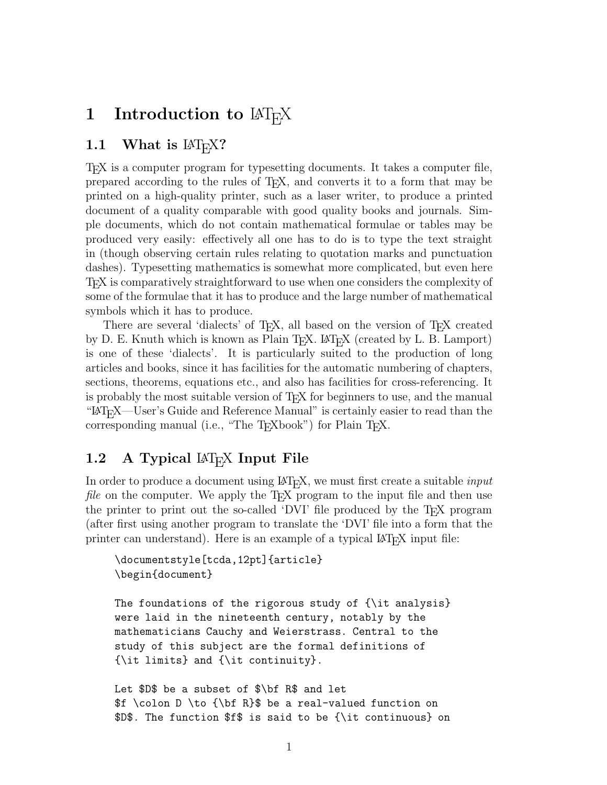# **1** Introduction to  $\text{MT}_F X$

# **1.1** What is  $\text{LATF}X$ ?

TEX is a computer program for typesetting documents. It takes a computer file, prepared according to the rules of TEX, and converts it to a form that may be printed on a high-quality printer, such as a laser writer, to produce a printed document of a quality comparable with good quality books and journals. Simple documents, which do not contain mathematical formulae or tables may be produced very easily: effectively all one has to do is to type the text straight in (though observing certain rules relating to quotation marks and punctuation dashes). Typesetting mathematics is somewhat more complicated, but even here TEX is comparatively straightforward to use when one considers the complexity of some of the formulae that it has to produce and the large number of mathematical symbols which it has to produce.

There are several 'dialects' of T<sub>E</sub>X, all based on the version of T<sub>E</sub>X created by D. E. Knuth which is known as Plain T<sub>E</sub>X.  $\text{LATE}$  (created by L. B. Lamport) is one of these 'dialects'. It is particularly suited to the production of long articles and books, since it has facilities for the automatic numbering of chapters, sections, theorems, equations etc., and also has facilities for cross-referencing. It is probably the most suitable version of TEX for beginners to use, and the manual "LaTEX—User's Guide and Reference Manual" is certainly easier to read than the corresponding manual (i.e., "The T<sub>E</sub>Xbook") for Plain T<sub>E</sub>X.

# **1.2** A Typical LAT<sub>E</sub>X Input File

In order to produce a document using  $\text{Lipx}$ , we must first create a suitable *input file* on the computer. We apply the T<sub>E</sub>X program to the input file and then use the printer to print out the so-called 'DVI' file produced by the T<sub>EX</sub> program (after first using another program to translate the 'DVI' file into a form that the printer can understand). Here is an example of a typical  $\mathbb{A}T_FX$  input file:

```
\documentstyle[tcda,12pt]{article}
\begin{document}
```
The foundations of the rigorous study of {\it analysis} were laid in the nineteenth century, notably by the mathematicians Cauchy and Weierstrass. Central to the study of this subject are the formal definitions of {\it limits} and {\it continuity}.

```
Let $D$ be a subset of $\bf R$ and let
$f \colon D \to {\bf R}$ be a real-valued function on
$D$. The function $f$ is said to be {\it continuous} on
```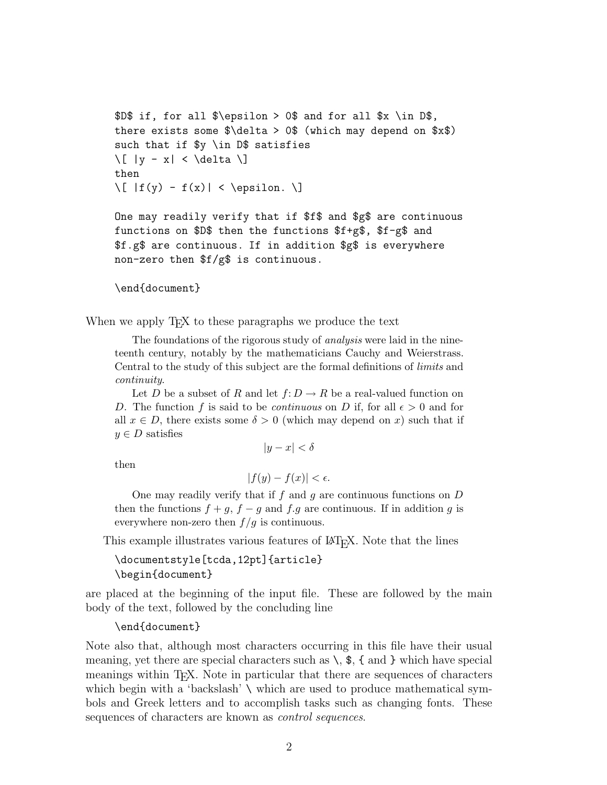```
$D$ if, for all <math>\epsilon &gt; 0</math> and for all <math>x \in D$</math>,there exists some \delta = 0 (which may depend on x)
such that if y \in \mathbb{S} satisfies
\{ |y - x| < \delta \}then
\[\ \left| f(y) - f(x) \right| < \epsilon\]
```
One may readily verify that if \$f\$ and \$g\$ are continuous functions on \$D\$ then the functions \$f+g\$, \$f-g\$ and \$f.g\$ are continuous. If in addition \$g\$ is everywhere non-zero then \$f/g\$ is continuous.

\end{document}

When we apply T<sub>E</sub>X to these paragraphs we produce the text

The foundations of the rigorous study of *analysis* were laid in the nineteenth century, notably by the mathematicians Cauchy and Weierstrass. Central to the study of this subject are the formal definitions of *limits* and *continuity*.

Let D be a subset of R and let  $f: D \to R$  be a real-valued function on D. The function f is said to be *continuous* on D if, for all  $\epsilon > 0$  and for all  $x \in D$ , there exists some  $\delta > 0$  (which may depend on x) such that if  $y \in D$  satisfies

$$
|y - x| < \delta
$$

then

$$
|f(y) - f(x)| < \epsilon.
$$

One may readily verify that if  $f$  and  $g$  are continuous functions on  $D$ then the functions  $f + g$ ,  $f - g$  and  $f.g$  are continuous. If in addition g is everywhere non-zero then  $f/g$  is continuous.

This example illustrates various features of  $\text{LipX}$ . Note that the lines

```
\documentstyle[tcda,12pt]{article}
\begin{document}
```
are placed at the beginning of the input file. These are followed by the main body of the text, followed by the concluding line

#### \end{document}

Note also that, although most characters occurring in this file have their usual meaning, yet there are special characters such as  $\setminus$ ,  $\$ ,  $\{$  and  $\}$  which have special meanings within T<sub>E</sub>X. Note in particular that there are sequences of characters which begin with a 'backslash'  $\setminus$  which are used to produce mathematical symbols and Greek letters and to accomplish tasks such as changing fonts. These sequences of characters are known as *control sequences*.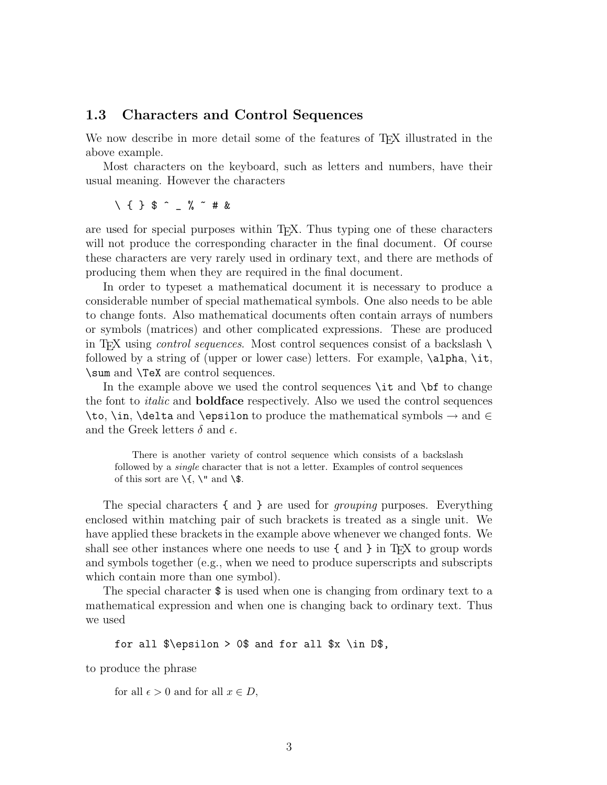#### **1.3 Characters and Control Sequences**

We now describe in more detail some of the features of T<sub>EX</sub> illustrated in the above example.

Most characters on the keyboard, such as letters and numbers, have their usual meaning. However the characters

\{}\$^\_%~#&

are used for special purposes within TEX. Thus typing one of these characters will not produce the corresponding character in the final document. Of course these characters are very rarely used in ordinary text, and there are methods of producing them when they are required in the final document.

In order to typeset a mathematical document it is necessary to produce a considerable number of special mathematical symbols. One also needs to be able to change fonts. Also mathematical documents often contain arrays of numbers or symbols (matrices) and other complicated expressions. These are produced in TEX using *control sequences*. Most control sequences consist of a backslash \ followed by a string of (upper or lower case) letters. For example,  $\alpha, \iota$ , \sum and \TeX are control sequences.

In the example above we used the control sequences  $\iota$  and  $\iota$  to change the font to *italic* and **boldface** respectively. Also we used the control sequences  $\to$ , \in, \delta and \epsilon to produce the mathematical symbols  $\to$  and  $\in$ and the Greek letters  $\delta$  and  $\epsilon$ .

There is another variety of control sequence which consists of a backslash followed by a *single* character that is not a letter. Examples of control sequences of this sort are  $\setminus \{,\setminus \text{``and }\setminus \$ .

The special characters { and } are used for *grouping* purposes. Everything enclosed within matching pair of such brackets is treated as a single unit. We have applied these brackets in the example above whenever we changed fonts. We shall see other instances where one needs to use  $\{$  and  $\}$  in T<sub>E</sub>X to group words and symbols together (e.g., when we need to produce superscripts and subscripts which contain more than one symbol).

The special character \$ is used when one is changing from ordinary text to a mathematical expression and when one is changing back to ordinary text. Thus we used

for all  $\epsilon > 0$  and for all  $x \in D$ ,

to produce the phrase

for all  $\epsilon > 0$  and for all  $x \in D$ ,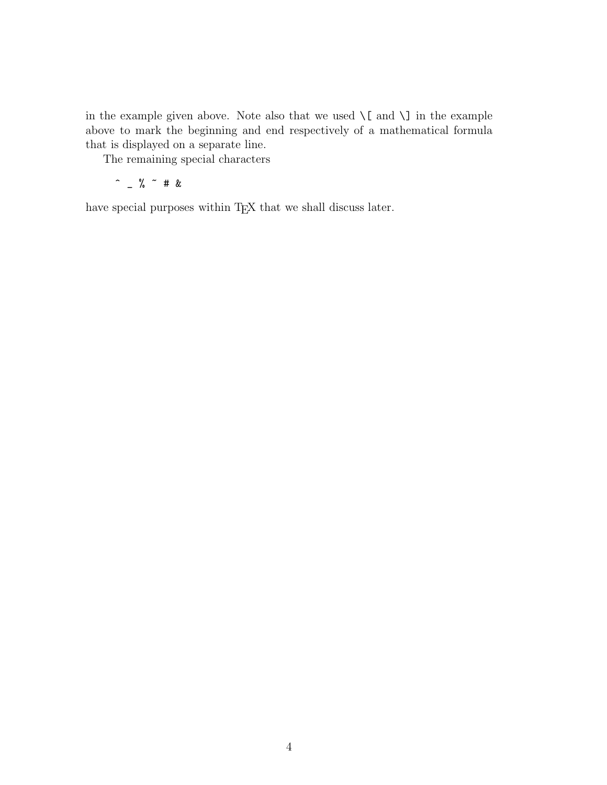in the example given above. Note also that we used  $\setminus$ [ and  $\setminus$ ] in the example above to mark the beginning and end respectively of a mathematical formula that is displayed on a separate line.

The remaining special characters

^ \_ % ~ # &

have special purposes within TEX that we shall discuss later.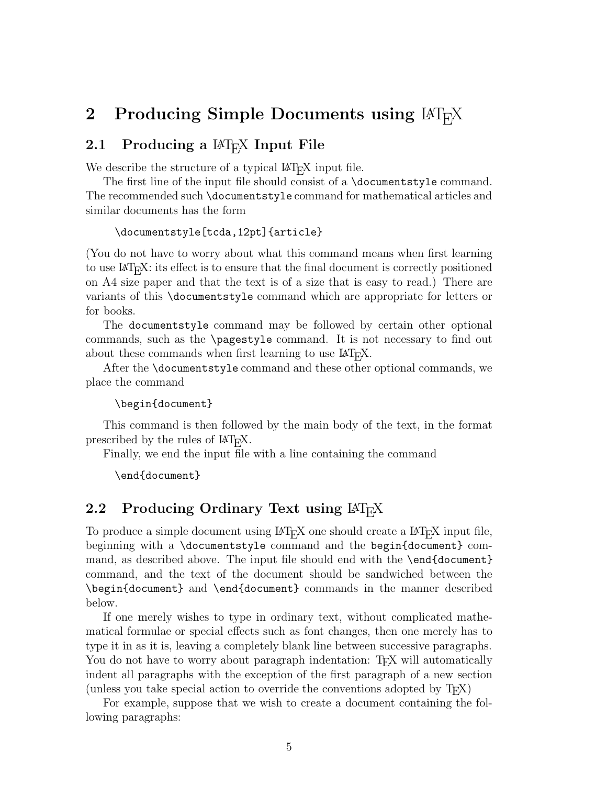# **2** Producing Simple Documents using  $\text{ATEX}$

### **2.1 Producing a LAT<sub>F</sub>X Input File**

We describe the structure of a typical  $\mathbb{A}T_FX$  input file.

The first line of the input file should consist of a \documentstyle command. The recommended such \documentstyle command for mathematical articles and similar documents has the form

```
\documentstyle[tcda,12pt]{article}
```
(You do not have to worry about what this command means when first learning to use  $\Delta T_F X$ : its effect is to ensure that the final document is correctly positioned on A4 size paper and that the text is of a size that is easy to read.) There are variants of this \documentstyle command which are appropriate for letters or for books.

The documentstyle command may be followed by certain other optional commands, such as the \pagestyle command. It is not necessary to find out about these commands when first learning to use  $\text{LAT}_pX$ .

After the \documentstyle command and these other optional commands, we place the command

\begin{document}

This command is then followed by the main body of the text, in the format prescribed by the rules of  $\text{LAT}$ <sub>E</sub>X.

Finally, we end the input file with a line containing the command

\end{document}

# **2.2 Producing Ordinary Text using LATEX**

To produce a simple document using  $\text{LipX}$  one should create a  $\text{LipX}$  input file, beginning with a \documentstyle command and the begin{document} command, as described above. The input file should end with the **\end{document}** command, and the text of the document should be sandwiched between the \begin{document} and \end{document} commands in the manner described below.

If one merely wishes to type in ordinary text, without complicated mathematical formulae or special effects such as font changes, then one merely has to type it in as it is, leaving a completely blank line between successive paragraphs. You do not have to worry about paragraph indentation: T<sub>EX</sub> will automatically indent all paragraphs with the exception of the first paragraph of a new section (unless you take special action to override the conventions adopted by  $T_F X$ )

For example, suppose that we wish to create a document containing the following paragraphs: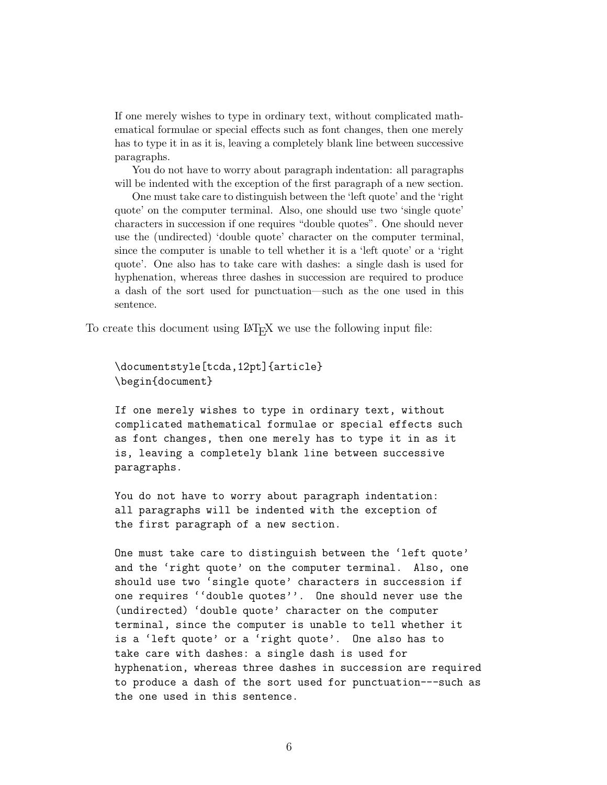If one merely wishes to type in ordinary text, without complicated mathematical formulae or special effects such as font changes, then one merely has to type it in as it is, leaving a completely blank line between successive paragraphs.

You do not have to worry about paragraph indentation: all paragraphs will be indented with the exception of the first paragraph of a new section.

One must take care to distinguish between the 'left quote' and the 'right quote' on the computer terminal. Also, one should use two 'single quote' characters in succession if one requires "double quotes". One should never use the (undirected) 'double quote' character on the computer terminal, since the computer is unable to tell whether it is a 'left quote' or a 'right quote'. One also has to take care with dashes: a single dash is used for hyphenation, whereas three dashes in succession are required to produce a dash of the sort used for punctuation—such as the one used in this sentence.

To create this document using  $\text{LAT}$ <sub>EX</sub> we use the following input file:

\documentstyle[tcda,12pt]{article} \begin{document}

If one merely wishes to type in ordinary text, without complicated mathematical formulae or special effects such as font changes, then one merely has to type it in as it is, leaving a completely blank line between successive paragraphs.

You do not have to worry about paragraph indentation: all paragraphs will be indented with the exception of the first paragraph of a new section.

One must take care to distinguish between the 'left quote' and the 'right quote' on the computer terminal. Also, one should use two 'single quote' characters in succession if one requires ''double quotes''. One should never use the (undirected) 'double quote' character on the computer terminal, since the computer is unable to tell whether it is a 'left quote' or a 'right quote'. One also has to take care with dashes: a single dash is used for hyphenation, whereas three dashes in succession are required to produce a dash of the sort used for punctuation---such as the one used in this sentence.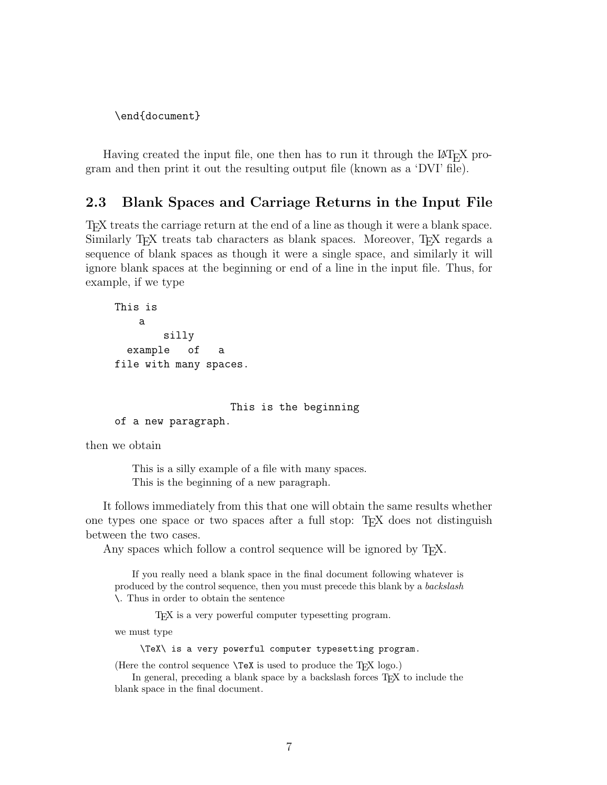\end{document}

Having created the input file, one then has to run it through the  $\mathbb{A}T_FX$  program and then print it out the resulting output file (known as a 'DVI' file).

#### **2.3 Blank Spaces and Carriage Returns in the Input File**

TEX treats the carriage return at the end of a line as though it were a blank space. Similarly T<sub>EX</sub> treats tab characters as blank spaces. Moreover, T<sub>EX</sub> regards a sequence of blank spaces as though it were a single space, and similarly it will ignore blank spaces at the beginning or end of a line in the input file. Thus, for example, if we type

```
This is
   a
       silly
  example of a
file with many spaces.
```
This is the beginning of a new paragraph.

then we obtain

This is a silly example of a file with many spaces. This is the beginning of a new paragraph.

It follows immediately from this that one will obtain the same results whether one types one space or two spaces after a full stop: TEX does not distinguish between the two cases.

Any spaces which follow a control sequence will be ignored by T<sub>E</sub>X.

If you really need a blank space in the final document following whatever is produced by the control sequence, then you must precede this blank by a *backslash* \. Thus in order to obtain the sentence

TEX is a very powerful computer typesetting program.

we must type

\TeX\ is a very powerful computer typesetting program.

(Here the control sequence \TeX is used to produce the TEX logo.)

In general, preceding a blank space by a backslash forces TFX to include the blank space in the final document.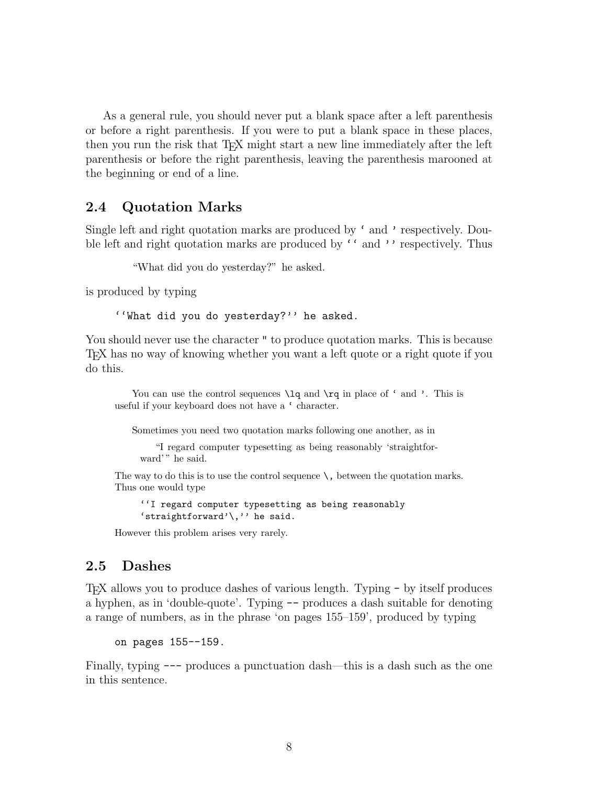As a general rule, you should never put a blank space after a left parenthesis or before a right parenthesis. If you were to put a blank space in these places, then you run the risk that TEX might start a newline immediately after the left parenthesis or before the right parenthesis, leaving the parenthesis marooned at the beginning or end of a line.

#### **2.4 Quotation Marks**

Single left and right quotation marks are produced by ' and ' respectively. Double left and right quotation marks are produced by " and " respectively. Thus

"What did you do yesterday?" he asked.

is produced by typing

''What did you do yesterday?'' he asked.

You should never use the character " to produce quotation marks. This is because TEX has no way of knowing whether you want a left quote or a right quote if you do this.

You can use the control sequences  $\qquad$  and  $\qquad$  in place of ' and '. This is useful if your keyboard does not have a ' character.

Sometimes you need two quotation marks following one another, as in

"I regard computer typesetting as being reasonably 'straightforward'" he said.

The way to do this is to use the control sequence  $\setminus$ , between the quotation marks. Thus one would type

''I regard computer typesetting as being reasonably 'straightforward'\,'' he said.

However this problem arises very rarely.

#### **2.5 Dashes**

TEX allows you to produce dashes of various length. Typing - by itself produces a hyphen, as in 'double-quote'. Typing -- produces a dash suitable for denoting a range of numbers, as in the phrase 'on pages 155–159', produced by typing

on pages 155--159.

Finally, typing --- produces a punctuation dash—this is a dash such as the one in this sentence.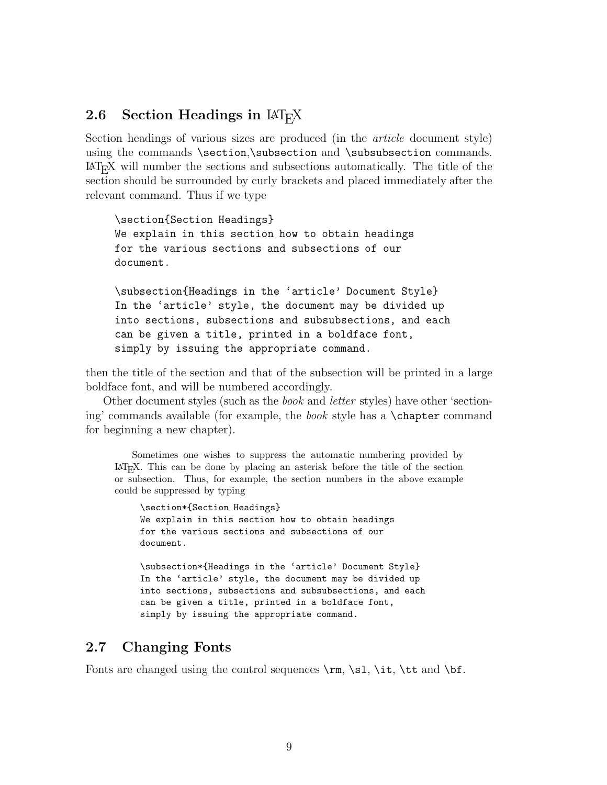### **2.6 Section Headings in LAT<sub>E</sub>X**

Section headings of various sizes are produced (in the *article* document style) using the commands \section,\subsection and \subsubsection commands. LaTEX will number the sections and subsections automatically. The title of the section should be surrounded by curly brackets and placed immediately after the relevant command. Thus if we type

\section{Section Headings} We explain in this section how to obtain headings for the various sections and subsections of our document.

\subsection{Headings in the 'article' Document Style} In the 'article' style, the document may be divided up into sections, subsections and subsubsections, and each can be given a title, printed in a boldface font, simply by issuing the appropriate command.

then the title of the section and that of the subsection will be printed in a large boldface font, and will be numbered accordingly.

Other document styles (such as the *book* and *letter* styles) have other 'sectioning' commands available (for example, the *book* style has a \chapter command for beginning a new chapter).

Sometimes one wishes to suppress the automatic numbering provided by  $\text{LATEX}$ . This can be done by placing an asterisk before the title of the section or subsection. Thus, for example, the section numbers in the above example could be suppressed by typing

\section\*{Section Headings} We explain in this section how to obtain headings for the various sections and subsections of our document.

\subsection\*{Headings in the 'article' Document Style} In the 'article' style, the document may be divided up into sections, subsections and subsubsections, and each can be given a title, printed in a boldface font, simply by issuing the appropriate command.

# **2.7 Changing Fonts**

Fonts are changed using the control sequences  $\rm \Im, \Si, \it \tot$  and  $\rm \of$ .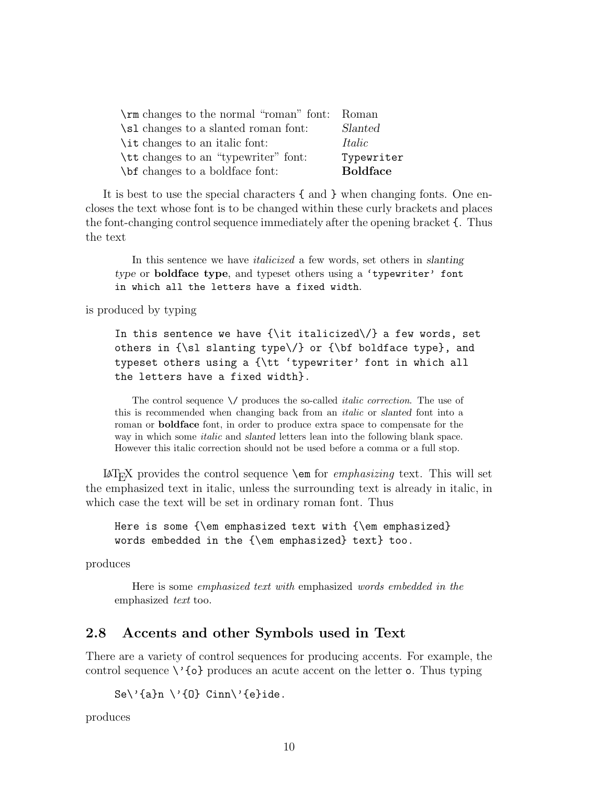| \rm changes to the normal "roman" font: Roman |                 |
|-----------------------------------------------|-----------------|
| \sl changes to a slanted roman font:          | Slanted         |
| \it changes to an italic font:                | Italic          |
| \tt changes to an "typewriter" font:          | Typewriter      |
| \bit changes to a boldface font:              | <b>Boldface</b> |

It is best to use the special characters { and } when changing fonts. One encloses the text whose font is to be changed within these curly brackets and places the font-changing control sequence immediately after the opening bracket {. Thus the text

In this sentence we have *italicized* a few words, set others in *slanting type* or **boldface type**, and typeset others using a 'typewriter' font in which all the letters have a fixed width.

is produced by typing

In this sentence we have  $\{\it it\ italicized\}/\rm a$  few words, set others in  $\simeq$  slanting type $\/$  or  $\thinspace$  boldface type}, and typeset others using a {\tt 'typewriter' font in which all the letters have a fixed width}.

The control sequence \/ produces the so-called *italic correction*. The use of this is recommended when changing back from an *italic* or *slanted* font into a roman or **boldface** font, in order to produce extra space to compensate for the way in which some *italic* and *slanted* letters lean into the following blank space. However this italic correction should not be used before a comma or a full stop.

LaTEX provides the control sequence \em for *emphasizing* text. This will set the emphasized text in italic, unless the surrounding text is already in italic, in which case the text will be set in ordinary roman font. Thus

Here is some {\em emphasized text with {\em emphasized} words embedded in the {\em emphasized} text} too.

produces

Here is some *emphasized text with* emphasized *words embedded in the* emphasized *text* too.

#### **2.8 Accents and other Symbols used in Text**

There are a variety of control sequences for producing accents. For example, the control sequence  $\backslash$  {o} produces an acute accent on the letter o. Thus typing

Se $\langle \cdot \rangle$ {a}n  $\setminus \rangle$ {0} Cinn $\setminus \rangle$ {e}ide.

produces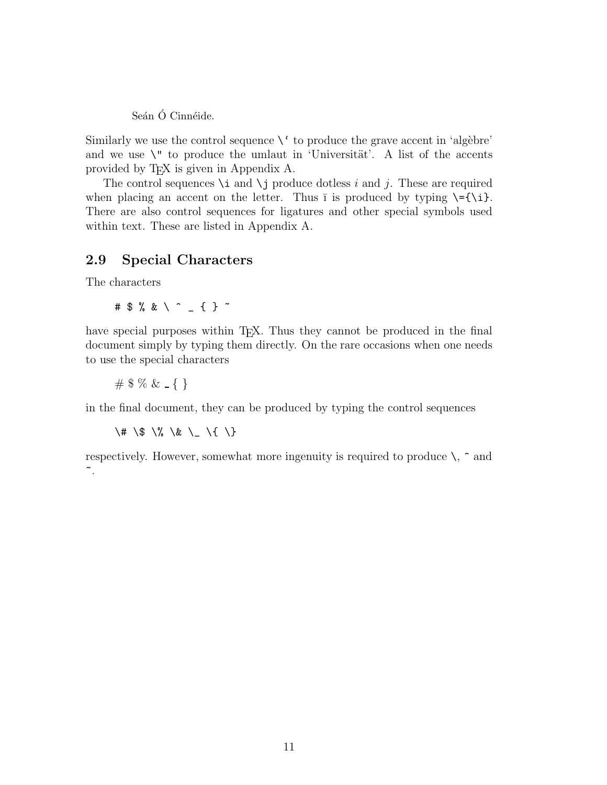Seán Ó Cinnéide.

Similarly we use the control sequence  $\setminus$  to produce the grave accent in 'algèbre' and we use  $\Upsilon$  to produce the umlaut in 'Universität'. A list of the accents provided by TEX is given in Appendix A.

The control sequences  $\iota$  and  $\iota$  produce dotless i and j. These are required when placing an accent on the letter. Thus  $\bar{1}$  is produced by typing  $\{-\{\iota\}.$ There are also control sequences for ligatures and other special symbols used within text. These are listed in Appendix A.

### **2.9 Special Characters**

The characters

# \$ % & \ ^ \_ { } ~

have special purposes within T<sub>E</sub>X. Thus they cannot be produced in the final document simply by typing them directly. On the rare occasions when one needs to use the special characters

 $# $% & [{} \$ 

in the final document, they can be produced by typing the control sequences

\# \\$ \% \& \\_ \{ \}

respectively. However, somewhat more ingenuity is required to produce  $\setminus$ ,  $\hat{ }$  and  $\tilde{\phantom{a}}$ .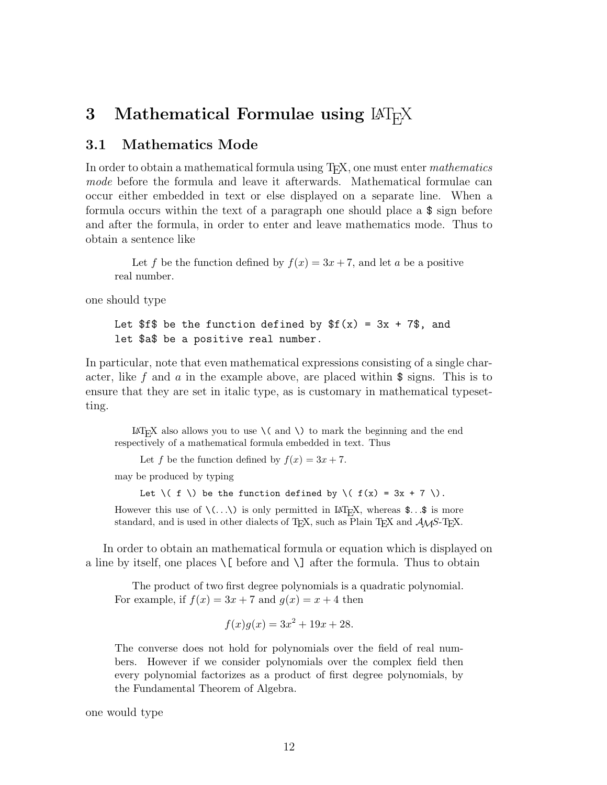# **3** Mathematical Formulae using  $\text{MT}_E X$

#### **3.1 Mathematics Mode**

In order to obtain a mathematical formula using TEX, one must enter *mathematics mode* before the formula and leave it afterwards. Mathematical formulae can occur either embedded in text or else displayed on a separate line. When a formula occurs within the text of a paragraph one should place a \$ sign before and after the formula, in order to enter and leave mathematics mode. Thus to obtain a sentence like

Let f be the function defined by  $f(x)=3x+7$ , and let a be a positive real number.

one should type

Let  $f$  be the function defined by  $f(x) = 3x + 7$ , and let \$a\$ be a positive real number.

In particular, note that even mathematical expressions consisting of a single character, like f and a in the example above, are placed within  $\frac{1}{2}$  signs. This is to ensure that they are set in italic type, as is customary in mathematical typesetting.

LAT<sub>E</sub>X also allows you to use  $\setminus$  and  $\setminus$  to mark the beginning and the end respectively of a mathematical formula embedded in text. Thus

Let f be the function defined by  $f(x)=3x + 7$ .

may be produced by typing

Let  $\setminus$  ( f  $\setminus$ ) be the function defined by  $\setminus$  ( f(x) = 3x + 7  $\setminus$ ).

However this use of  $\langle \ldots \rangle$  is only permitted in LAT<sub>E</sub>X, whereas \$...\$ is more standard, and is used in other dialects of TEX, such as Plain TEX and  $A\mathcal{M}S$ -TEX.

In order to obtain an mathematical formula or equation which is displayed on a line by itself, one places  $\setminus$  before and  $\setminus$  after the formula. Thus to obtain

The product of two first degree polynomials is a quadratic polynomial. For example, if  $f(x)=3x + 7$  and  $g(x) = x + 4$  then

$$
f(x)g(x) = 3x^2 + 19x + 28.
$$

The converse does not hold for polynomials over the field of real numbers. However if we consider polynomials over the complexfield then every polynomial factorizes as a product of first degree polynomials, by the Fundamental Theorem of Algebra.

one would type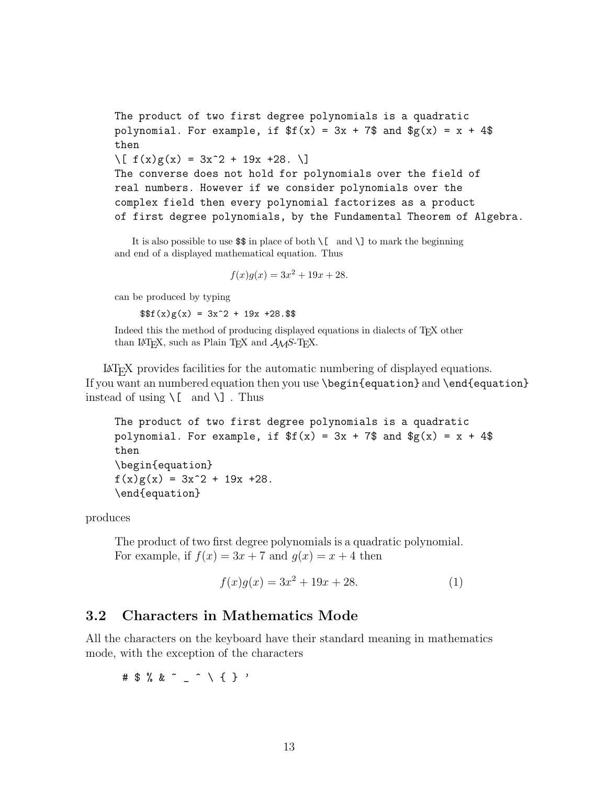The product of two first degree polynomials is a quadratic polynomial. For example, if  $f(x) = 3x + 7$  and  $f(x) = x + 4$ then  $\[\int [ f(x)g(x) = 3x^2 + 19x +28. \]$ The converse does not hold for polynomials over the field of real numbers. However if we consider polynomials over the complex field then every polynomial factorizes as a product of first degree polynomials, by the Fundamental Theorem of Algebra.

It is also possible to use  $\$ in place of both  $\[$  and  $\]$  to mark the beginning and end of a displayed mathematical equation. Thus

 $f(x)g(x)=3x^2 + 19x + 28.$ 

can be produced by typing

 $$f(x)g(x) = 3x^2 + 19x +28.$ 

Indeed this the method of producing displayed equations in dialects of T<sub>E</sub>X other than  $\text{LipX}$ , such as Plain T<sub>E</sub>X and  $\mathcal{A}_{\mathcal{M}}S$ -T<sub>E</sub>X.

 $\Delta T_{\rm EX}$  provides facilities for the automatic numbering of displayed equations. If you want an numbered equation then you use  $\begin{equation}$  and  $\end{equation}$ instead of using  $\[\ \mathbf{I} \]$  and  $\[\ \mathbf{I} \]$ . Thus

The product of two first degree polynomials is a quadratic polynomial. For example, if  $f(x) = 3x + 7$  and  $f(x) = x + 4$ then \begin{equation}  $f(x)g(x) = 3x^2 + 19x +28$ . \end{equation}

produces

The product of two first degree polynomials is a quadratic polynomial. For example, if  $f(x)=3x + 7$  and  $g(x) = x + 4$  then

$$
f(x)g(x) = 3x^2 + 19x + 28.
$$
 (1)

### **3.2 Characters in Mathematics Mode**

All the characters on the keyboard have their standard meaning in mathematics mode, with the exception of the characters

#\$%&~\_^\{}'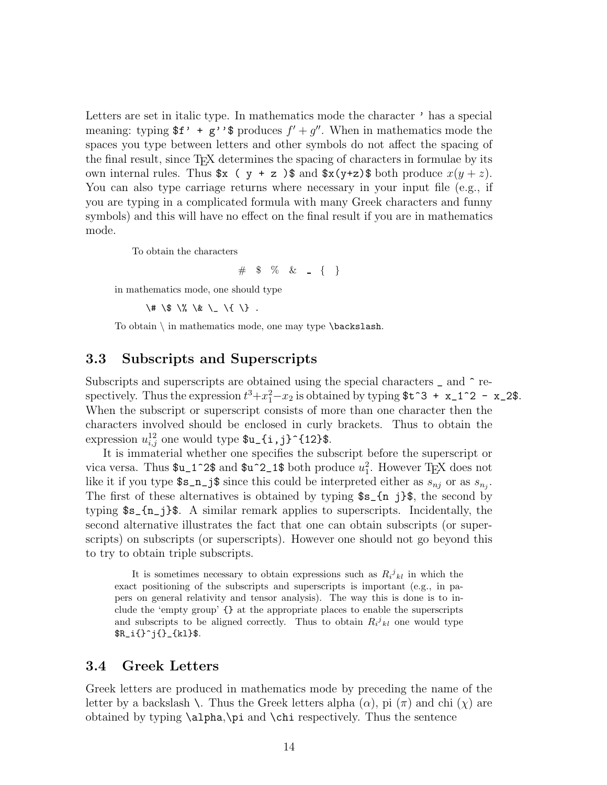Letters are set in italic type. In mathematics mode the character  $'$  has a special meaning: typing  $f' + g'$  is produces  $f' + g''$ . When in mathematics mode the spaces you type between letters and other symbols do not affect the spacing of the final result, since TEX determines the spacing of characters in formulae by its own internal rules. Thus  $x \in y + z$  is and  $x(y+z)$  both produce  $x(y + z)$ . You can also type carriage returns where necessary in your input file (e.g., if you are typing in a complicated formula with many Greek characters and funny symbols) and this will have no effect on the final result if you are in mathematics mode.

To obtain the characters

# \$ % &  $= \{ \}$ 

in mathematics mode, one should type

\# \\$ \% \& \\_ \{ \} .

To obtain \ in mathematics mode, one may type \backslash.

#### **3.3 Subscripts and Superscripts**

Subscripts and superscripts are obtained using the special characters  $\overline{\phantom{a}}$  and  $\hat{\phantom{a}}$  respectively. Thus the expression  $t^3 + x_1^2 - x_2$  is obtained by typing  $t^3 + x_1^2 - x_2$ . When the subscript or superscript consists of more than one character then the characters involved should be enclosed in curly brackets. Thus to obtain the expression  $u_{i,j}^{12}$  one would type  $u_{i,j}^{12}$  (12}\$.

It is immaterial whether one specifies the subscript before the superscript or vica versa. Thus  $u_1^2$  and  $u_2^2$  and  $u_2^2$ , both produce  $u_1^2$ . However T<sub>E</sub>X does not like it if you type  $s_n$ ,  $j$  ince this could be interpreted either as  $s_{nj}$  or as  $s_{nj}$ . The first of these alternatives is obtained by typing  $\$s_{n-1}$  j.f., the second by typing  $s_{s_{n-1}}$  to superscripts. Incidentally, the second alternative illustrates the fact that one can obtain subscripts (or superscripts) on subscripts (or superscripts). However one should not go beyond this to try to obtain triple subscripts.

It is sometimes necessary to obtain expressions such as  $R_i^j{}_{kl}$  in which the exact positioning of the subscripts and superscripts is important (e.g., in papers on general relativity and tensor analysis). The way this is done is to include the 'empty group' {} at the appropriate places to enable the superscripts and subscripts to be aligned correctly. Thus to obtain  $R_i^j{}_{kl}$  one would type \$R\_i{}^j{}\_{kl}\$.

#### **3.4 Greek Letters**

Greek letters are produced in mathematics mode by preceding the name of the letter by a backslash  $\lambda$ . Thus the Greek letters alpha  $(\alpha)$ , pi  $(\pi)$  and chi  $(\chi)$  are obtained by typing \alpha,\pi and \chi respectively. Thus the sentence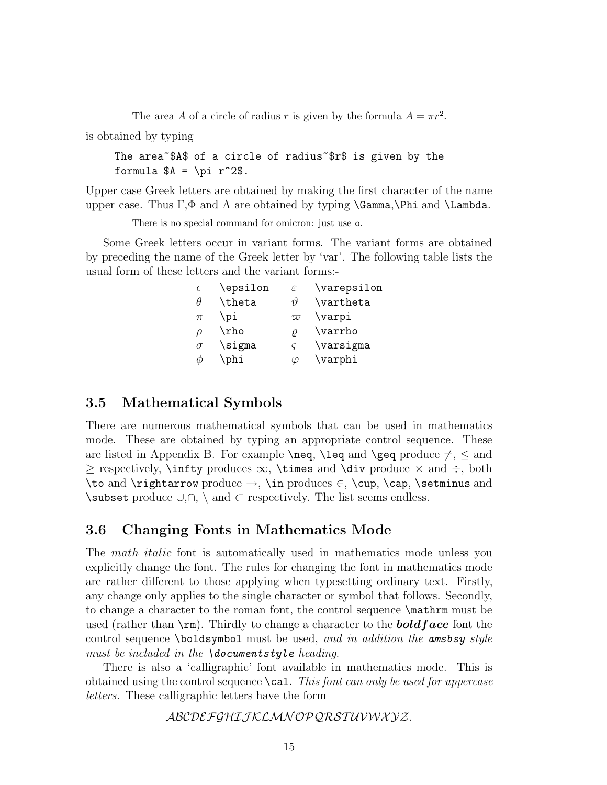The area A of a circle of radius r is given by the formula  $A = \pi r^2$ .

is obtained by typing

#### The area~\$A\$ of a circle of radius~\$r\$ is given by the formula  $A = \pi^2$ .

Upper case Greek letters are obtained by making the first character of the name upper case. Thus  $\Gamma, \Phi$  and  $\Lambda$  are obtained by typing **\Gamma**, **\Phi** and **\Lambda.** 

There is no special command for omicron: just use o.

Some Greek letters occur in variant forms. The variant forms are obtained by preceding the name of the Greek letter by 'var'. The following table lists the usual form of these letters and the variant forms:-

| $\epsilon$    | \epsilon | $\varepsilon$ | \varepsilon |
|---------------|----------|---------------|-------------|
| Ĥ             | \theta   | 1I            | \vartheta   |
| $\pi$         | \pi      | $\varpi$      | \varpi      |
| $\mathcal{D}$ | \rho     | 0             | \varrho     |
| $\sigma$      | \sigma   |               | \varsigma   |
|               | \phi     |               | \varphi     |

### **3.5 Mathematical Symbols**

There are numerous mathematical symbols that can be used in mathematics mode. These are obtained by typing an appropriate control sequence. These are listed in Appendix B. For example  $\neq$ ,  $\leq$  and  $\geq$  produce  $\neq$ ,  $\leq$  and  $\geq$  respectively, \infty produces  $\infty$ , \times and \div produce  $\times$  and  $\div$ , both  $\to$  and  $\rightarrow$   $\to \infty$  produce  $\to \infty$ ,  $\cup \infty$ ,  $\cap \cdot$   $\to \infty$  and \subset produce ∪,∩, \ and ⊂ respectively. The list seems endless.

### **3.6 Changing Fonts in Mathematics Mode**

The math *italic* font is automatically used in mathematics mode unless you explicitly change the font. The rules for changing the font in mathematics mode are rather different to those applying when typesetting ordinary text. Firstly, any change only applies to the single character or symbol that follows. Secondly, to change a character to the roman font, the control sequence \mathrm must be used (rather than \rm). Thirdly to change a character to the *boldface* font the control sequence \boldsymbol must be used, *and in addition the amsbsy style must be included in the \documentstyle heading*.

There is also a 'calligraphic' font available in mathematics mode. This is obtained using the control sequence \cal. *This font can only be used for uppercase letters.* These calligraphic letters have the form

#### ABCDEFGHIJ KLMN OPQRST UVWX YZ.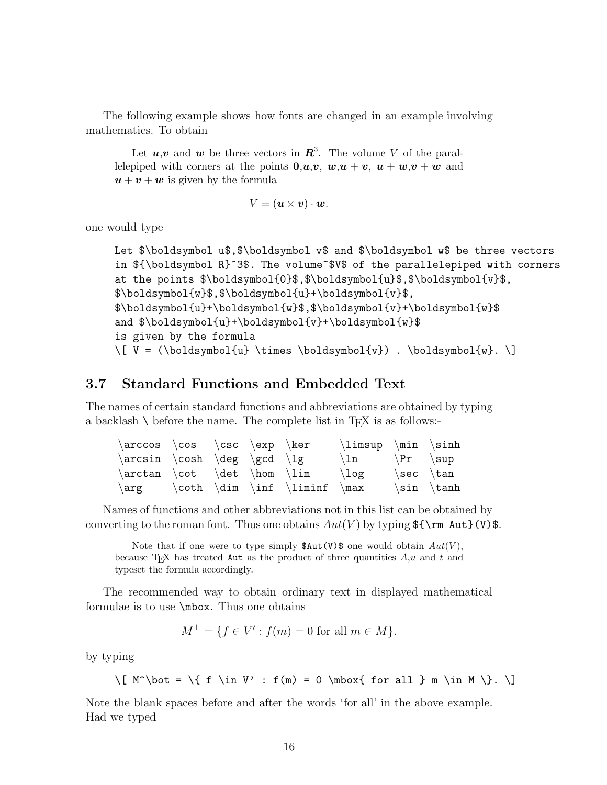The following example shows how fonts are changed in an example involving mathematics. To obtain

Let  $u, v$  and  $w$  be three vectors in  $\mathbb{R}^3$ . The volume V of the parallelepiped with corners at the points  $0, u, v, w, u + v, u + w, v + w$  and  $u + v + w$  is given by the formula

$$
V=(\mathbf{u}\times\mathbf{v})\cdot\mathbf{w}.
$$

one would type

Let \$\boldsymbol u\$,\$\boldsymbol v\$ and \$\boldsymbol w\$ be three vectors in \${\boldsymbol R}^3\$. The volume~\$V\$ of the parallelepiped with corners at the points \$\boldsymbol{0}\$,\$\boldsymbol{u}\$,\$\boldsymbol{v}\$, \$\boldsymbol{w}\$,\$\boldsymbol{u}+\boldsymbol{v}\$, \$\boldsymbol{u}+\boldsymbol{w}\$,\$\boldsymbol{v}+\boldsymbol{w}\$ and \$\boldsymbol{u}+\boldsymbol{v}+\boldsymbol{w}\$ is given by the formula  $\[ V = (\boldsymbol{u} \times \boldsymbol{v})$ . \boldsymbol{w}. \]

#### **3.7 Standard Functions and Embedded Text**

The names of certain standard functions and abbreviations are obtained by typing a backlash  $\setminus$  before the name. The complete list in T<sub>E</sub>X is as follows:-

| $\arccos \cos \csc \exp \ker$ |  |                                         | $\limsup$ $\min$ $\sinh$    |                                 |                |
|-------------------------------|--|-----------------------------------------|-----------------------------|---------------------------------|----------------|
| $\arcsin \cosh \deg \gcd \lg$ |  |                                         | $\ln \quad \text{Pr} \quad$ |                                 |                |
|                               |  | $\arctan \cot \det \hom \lim \Big($     |                             | $\setminus$ sec $\setminus$ tan |                |
|                               |  | $\arg \ \coth \dim \inf \liminf \ \max$ |                             |                                 | $\sin \ \tanh$ |

Names of functions and other abbreviations not in this list can be obtained by converting to the roman font. Thus one obtains  $Aut(V)$  by typing  $\{\rm \tau \, Aut}(V)$ .

Note that if one were to type simply  $\text{Aut}(V)$  one would obtain  $Aut(V)$ , because T<sub>EX</sub> has treated Aut as the product of three quantities  $A, u$  and t and typeset the formula accordingly.

The recommended way to obtain ordinary text in displayed mathematical formulae is to use \mbox. Thus one obtains

 $M^{\perp} = \{ f \in V' : f(m) = 0 \text{ for all } m \in M \}.$ 

by typing

\[ M^\bot = \{ f \in V' : f(m) = 0 \mbox{ for all } m \in M \}. \]

Note the blank spaces before and after the words 'for all' in the above example. Had we typed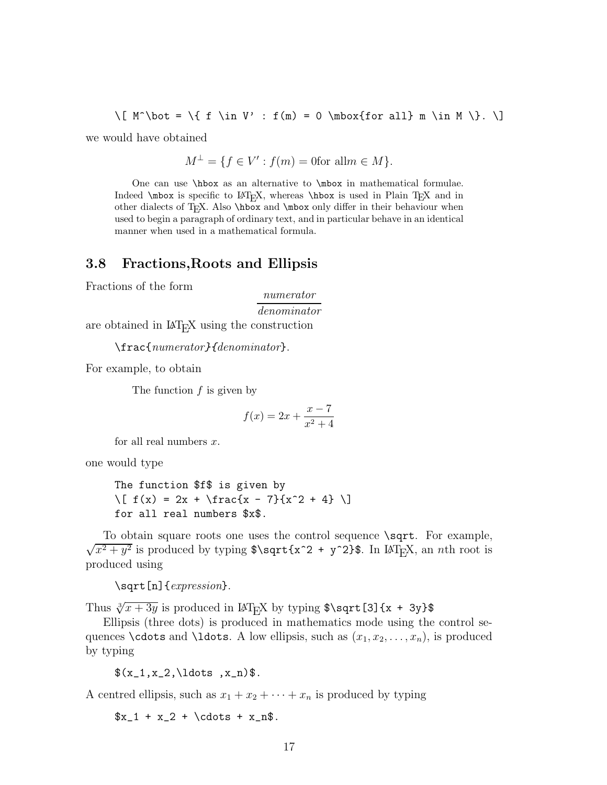$\{ M^{\bot} = \{ f \in V' : f(m) = 0 \mbox{for all} m \in M \}. \]$ 

we would have obtained

 $M^{\perp} = \{ f \in V' : f(m) = 0 \text{for all } m \in M \}.$ 

One can use \hbox as an alternative to \mbox in mathematical formulae. Indeed  $\mathbb{R}$  is specific to LAT<sub>E</sub>X, whereas  $\mathbb{R}$  is used in Plain T<sub>E</sub>X and in other dialects of TEX. Also \hbox and \mbox only differ in their behaviour when used to begin a paragraph of ordinary text, and in particular behave in an identical manner when used in a mathematical formula.

#### **3.8 Fractions,Roots and Ellipsis**

Fractions of the form

*numerator*

*denominator*

are obtained in  $\mathbb{A}T_FX$  using the construction

```
\frac{numerator}{denominator}.
```
For example, to obtain

The function  $f$  is given by

$$
f(x) = 2x + \frac{x-7}{x^2+4}
$$

for all real numbers  $x$ .

one would type

```
The function $f$ is given by
\[\ \{ f(x) = 2x + \frac{x - 7}{x^2 + 4} \]\]for all real numbers $x$.
```
To obtain square roots one uses the control sequence **\sqrt.** For example,  $\sqrt{x^2 + y^2}$  is produced by typing  $\sqrt{\sqrt{x^2 + y^2}}$ . In LAT<sub>E</sub>X, an *nth* root is produced using

\sqrt[n]{*expression*}.

Thus  $\sqrt[3]{x+3y}$  is produced in LAT<sub>E</sub>X by typing  $\sqrt[3]{\sqrt{x+3y}}$ 

Ellipsis (three dots) is produced in mathematics mode using the control sequences **\cdots** and **\ldots**. A low ellipsis, such as  $(x_1, x_2, \ldots, x_n)$ , is produced by typing

 $(x_1, x_2, \ldots, x_n)$ .

A centred ellipsis, such as  $x_1 + x_2 + \cdots + x_n$  is produced by typing

 $x_1 + x_2 + \cdot \cdot + x_n$ .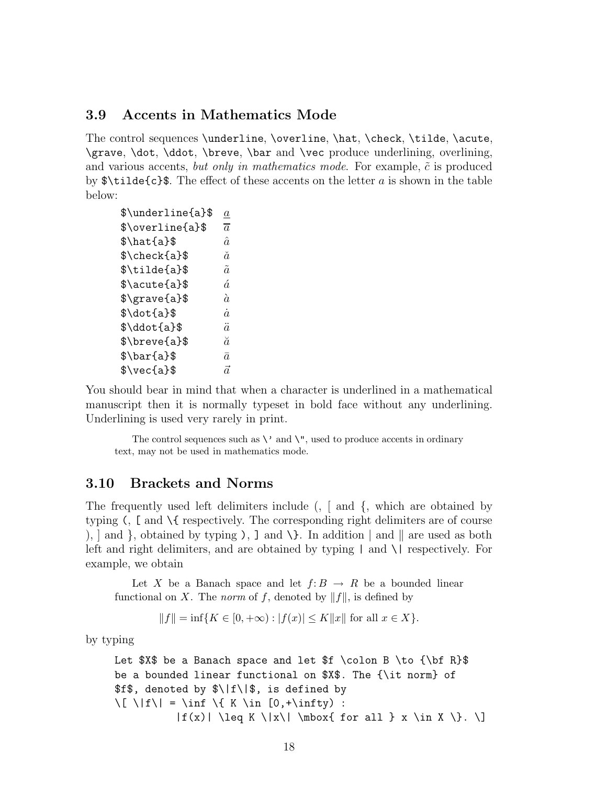#### **3.9 Accents in Mathematics Mode**

The control sequences \underline, \overline, \hat, \check, \tilde, \acute, \grave, \dot, \ddot, \breve, \bar and \vec produce underlining, overlining, and various accents, *but only in mathematics mode*. For example,  $\tilde{c}$  is produced by  $\tilde{\xi}$ tilde{c}\$. The effect of these accents on the letter a is shown in the table below:

```
\underline{\a}$\overline{a}$ \overline{a}\theta $\hat{a}$ \hat{a}\theta\check{a}$ \check{a}$\tilde{a}$ \tilde{a}\lambdaacute{a}$ á
\sqrt{\frac{2}{\pi}} \alpha\delta\dot{a}$ a
\delta\ddot{a}$ \ddot{a}\theta\breve{a}$ \check{a}\lambdabar{a}$ \bar{a}\text{%} $\vec{a}$ \vec{a}
```
You should bear in mind that when a character is underlined in a mathematical manuscript then it is normally typeset in bold face without any underlining. Underlining is used very rarely in print.

The control sequences such as  $\setminus$  and  $\setminus$ ", used to produce accents in ordinary text, may not be used in mathematics mode.

#### **3.10 Brackets and Norms**

The frequently used left delimiters include (, [ and {, which are obtained by typing (, [ and \{ respectively. The corresponding right delimiters are of course ),  $|$  and  $\}$ , obtained by typing ),  $]$  and  $\}$ . In addition  $|$  and  $||$  are used as both left and right delimiters, and are obtained by typing | and \| respectively. For example, we obtain

Let X be a Banach space and let  $f: B \to R$  be a bounded linear functional on X. The *norm* of f, denoted by  $||f||$ , is defined by

$$
||f|| = inf{K \in [0, +\infty) : |f(x)| \le K ||x||}
$$
 for all  $x \in X$ .

by typing

```
Let X\ be a Banach space and let f \colon B \to {\bfrak h} \be a bounded linear functional on $X$. The {\it norm} of
$f$, denoted by $\|f\|$, is defined by
\{ \ |f\| = \inf \{ K \in [0,+\infty) :|f(x)| \leq K \|x\| \bsc{ for all } x \in X \}.
```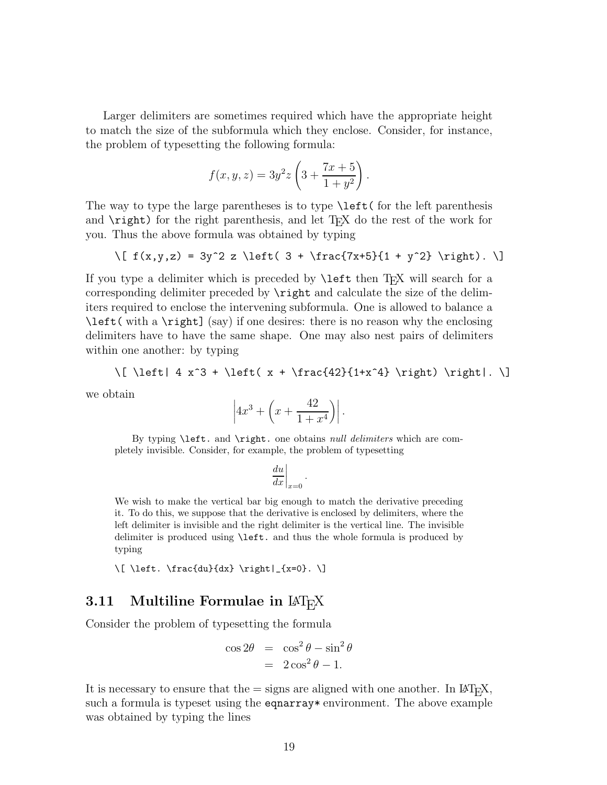Larger delimiters are sometimes required which have the appropriate height to match the size of the subformula which they enclose. Consider, for instance, the problem of typesetting the following formula:

$$
f(x, y, z) = 3y^{2}z \left(3 + \frac{7x + 5}{1 + y^{2}}\right).
$$

The way to type the large parentheses is to type \left( for the left parenthesis and  $\rightleftharpoonup$  right) for the right parenthesis, and let T<sub>EX</sub> do the rest of the work for you. Thus the above formula was obtained by typing

$$
\[ f(x,y,z) = 3y^2 z \left( 3 + \frac{7x+5}{1 + y^2} \right). \]
$$

If you type a delimiter which is preceded by  $\left| \right|$  then T<sub>EX</sub> will search for a corresponding delimiter preceded by \right and calculate the size of the delimiters required to enclose the intervening subformula. One is allowed to balance a \left( with a \right] (say) if one desires: there is no reason why the enclosing delimiters have to have the same shape. One may also nest pairs of delimiters within one another: by typing

$$
\[\left\{ 4 x^3 + \left( x + \frac{42}{1+x^4} \right) \right]. \]
$$

we obtain

$$
\left|4x^3 + \left(x + \frac{42}{1+x^4}\right)\right|.
$$

By typing \left. and \right. one obtains *null delimiters* which are completely invisible. Consider, for example, the problem of typesetting

$$
\left. \frac{du}{dx} \right|_{x=0}
$$

.

We wish to make the vertical bar big enough to match the derivative preceding it. To do this, we suppose that the derivative is enclosed by delimiters, where the left delimiter is invisible and the right delimiter is the vertical line. The invisible delimiter is produced using \left. and thus the whole formula is produced by typing

 $\[\ \{\text{def. } \frac{du}{dx}\ \right]_{x=0}$ .

### **3.11 Multiline Formulae in LAT<sub>E</sub>X**

Consider the problem of typesetting the formula

$$
\cos 2\theta = \cos^2 \theta - \sin^2 \theta
$$

$$
= 2\cos^2 \theta - 1.
$$

It is necessary to ensure that the  $=$  signs are aligned with one another. In  $\mathbb{L}T_F X$ , such a formula is typeset using the **eqnarray**\* environment. The above example was obtained by typing the lines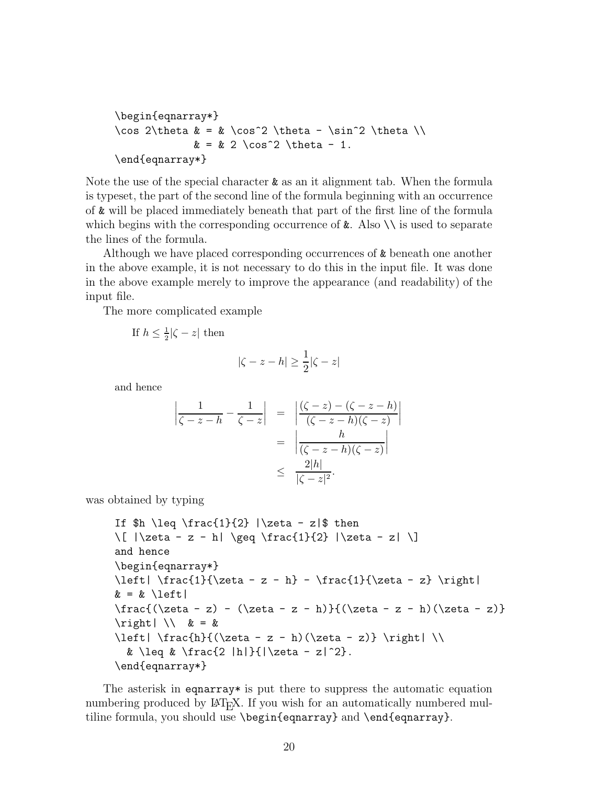```
\begin{eqnarray*}
\cos 2\theta \& = \& \cos^2 \theta - \sin^2 \theta \& = \& 2 \cos^2 2 \theta - 1.
\end{eqnarray*}
```
Note the use of the special character & as an it alignment tab. When the formula is typeset, the part of the second line of the formula beginning with an occurrence of & will be placed immediately beneath that part of the first line of the formula which begins with the corresponding occurrence of  $\&$ . Also  $\setminus \$ is used to separate the lines of the formula.

Although we have placed corresponding occurrences of **&** beneath one another in the above example, it is not necessary to do this in the input file. It was done in the above example merely to improve the appearance (and readability) of the input file.

The more complicated example

If 
$$
h \leq \frac{1}{2} |\zeta - z|
$$
 then

$$
|\zeta - z - h| \ge \frac{1}{2}|\zeta - z|
$$

and hence

$$
\left| \frac{1}{\zeta - z - h} - \frac{1}{\zeta - z} \right| = \left| \frac{(\zeta - z) - (\zeta - z - h)}{(\zeta - z - h)(\zeta - z)} \right|
$$

$$
= \left| \frac{h}{(\zeta - z - h)(\zeta - z)} \right|
$$

$$
\leq \frac{2|h|}{|\zeta - z|^2}.
$$

was obtained by typing

```
If h \leq \frac{1}{2} \leq x - z then
\lceil \zeta - z - h \rceil \geq \frac{1}{2} |\zeta - z| \rceiland hence
\begin{eqnarray*}
\left| \frac{1}{\zeta - z - h} - \frac{1}{\zeta - z} \right|
& = \& \leq \text{left}\frac{(\zeta - z) - (\zeta - z - h)}{(\zeta - z - h)(\zeta - z)}\right| \ \ \& = \&\left| \frac{h}{(\zeta - z - h)(\zeta - z)} \right| \\
  & \leq & \frac{2 |h|}{|\zeta - z|^2}.
\end{eqnarray*}
```
The asterisk in eqnarray\* is put there to suppress the automatic equation numbering produced by  $\Delta T_F X$ . If you wish for an automatically numbered multiline formula, you should use \begin{eqnarray} and \end{eqnarray}.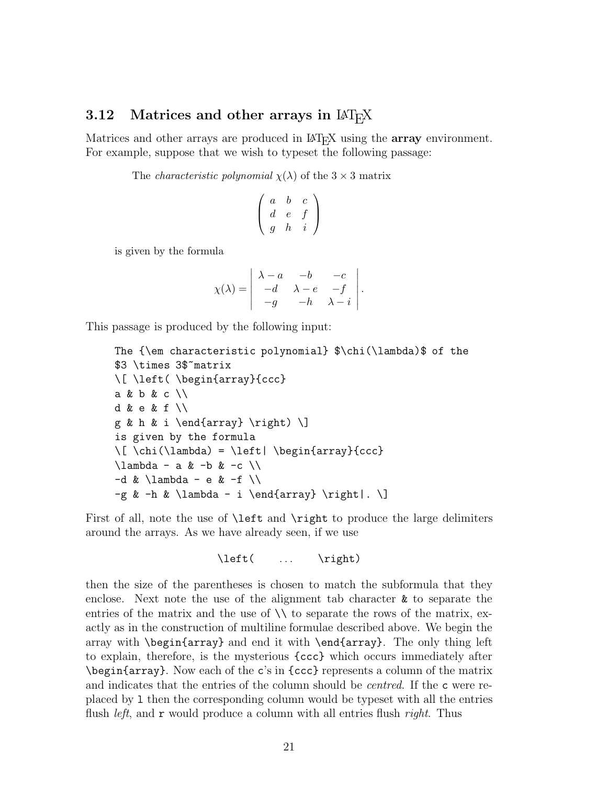#### **3.12** Matrices and other arrays in LAT<sub>E</sub>X

Matrices and other arrays are produced in LaTEX using the **array** environment. For example, suppose that we wish to typeset the following passage:

The *characteristic polynomial*  $\chi(\lambda)$  of the  $3 \times 3$  matrix

$$
\left(\begin{array}{ccc}a&b&c\\d&e&f\\g&h&i\end{array}\right)
$$

is given by the formula

$$
\chi(\lambda) = \begin{vmatrix} \lambda - a & -b & -c \\ -d & \lambda - e & -f \\ -g & -h & \lambda - i \end{vmatrix}.
$$

This passage is produced by the following input:

```
The {\em characteristic polynomial} $\chi(\lambda)$ of the
$3 \times 3$~matrix
\[ \left( \begin{array}{ccc}
a & b & c \\
d & e & f \\
g \& h \& i \end{array} \rightarrow \right(is given by the formula
\[ \chi(\lambda) = \left| \begin{array}{ccc}
\lambda = \alpha - a & -b & -c \lambda-d & \lambda \lambda - e & f \lambda-g \& -h \& \lambda - i \end{array} \right|. \
```
First of all, note the use of **\left** and **\right** to produce the large delimiters around the arrays. As we have already seen, if we use

 $\left\{ \right.\right. \left\{ \right. }$ 

then the size of the parentheses is chosen to match the subformula that they enclose. Next note the use of the alignment tab character  $\&$  to separate the entries of the matrix and the use of  $\setminus \setminus$  to separate the rows of the matrix, exactly as in the construction of multiline formulae described above. We begin the array with \begin{array} and end it with \end{array}. The only thing left to explain, therefore, is the mysterious {ccc} which occurs immediately after \begin{array}. Now each of the c's in {ccc} represents a column of the matrix and indicates that the entries of the column should be *centred*. If the c were replaced by l then the corresponding column would be typeset with all the entries flush *left*, and r would produce a column with all entries flush *right*. Thus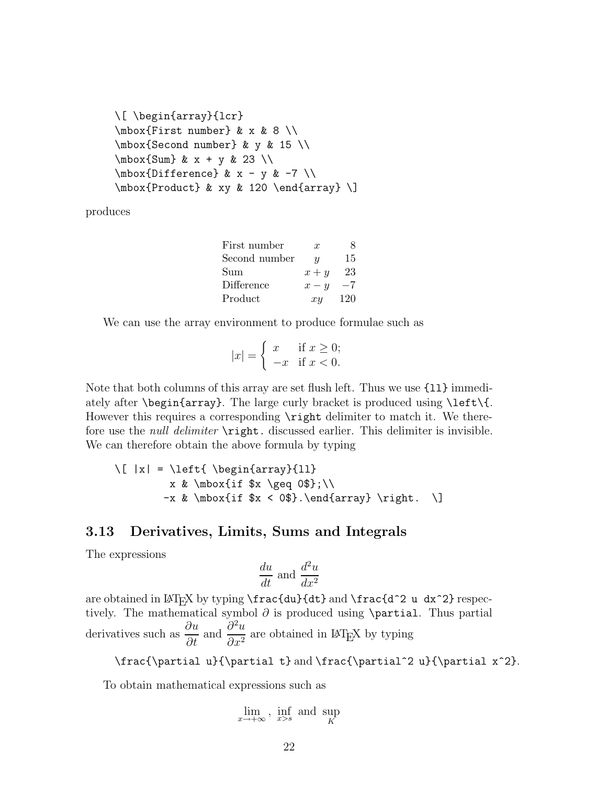```
\[ \begin{array}{lcr}
\mbox{First number} & x & 8 \\
\mbox{Second number} & y & 15 \\
\mbox{Sum} & x + y & 23 \\
\mbox{Difference} & x - y & -7 \n\mbox{Product} & xy & 120 \end{array} \]
```
produces

| First number  | $\boldsymbol{x}$          | Χ    |
|---------------|---------------------------|------|
| Second number | $\boldsymbol{\mathit{u}}$ | 15   |
| Sum           | $x + y$                   | 23   |
| Difference    | $x - y$                   | $-7$ |
| Product       | $x\overline{u}$           | 120  |

We can use the array environment to produce formulae such as

$$
|x| = \begin{cases} x & \text{if } x \ge 0; \\ -x & \text{if } x < 0. \end{cases}
$$

Note that both columns of this array are set flush left. Thus we use {ll} immediately after \begin{array}. The large curly bracket is produced using \left\{. However this requires a corresponding \right delimiter to match it. We therefore use the *null delimiter* \right. discussed earlier. This delimiter is invisible. We can therefore obtain the above formula by typing

\[ |x| = \left{ \begin{array}{ll} x & \mbox{if \$x \geq 0\$};\\ -x & \mbox{if \$x < 0\$}.\end{array} \right. \]

### **3.13 Derivatives, Limits, Sums and Integrals**

The expressions

$$
\frac{du}{dt} \text{ and } \frac{d^2u}{dx^2}
$$

are obtained in LAT<sub>E</sub>X by typing \frac{du}{dt} and \frac{d^2 u dx^2} respectively. The mathematical symbol  $\partial$  is produced using \partial. Thus partial derivatives such as  $\frac{\partial u}{\partial t}$  and  $\frac{\partial^2 u}{\partial x^2}$  are obtained in LAT<sub>E</sub>X by typing

\frac{\partial u}{\partial t} and \frac{\partial^2 u}{\partial x^2}.

To obtain mathematical expressions such as

$$
\lim_{x \to +\infty}, \ \inf_{x > s} \text{ and } \sup_{K}
$$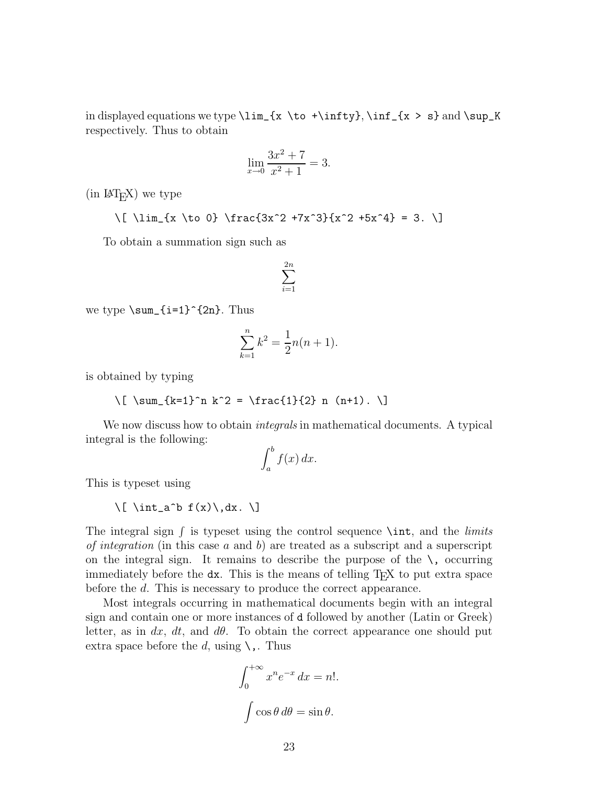in displayed equations we type  $\lim_{x \to \infty} \inf_{x > s}$  and  $\sup_{K}$ respectively. Thus to obtain

$$
\lim_{x \to 0} \frac{3x^2 + 7}{x^2 + 1} = 3.
$$

 $(in$   $\blacktriangle A\blacktriangleright$  we type

 $\[\ \{\n \ \lim_{x \to 0} \frac{3x^2 +7x^3}{x^2 +5x^4} = 3. \]\]$ 

To obtain a summation sign such as

$$
\sum_{i=1}^{2n}
$$

we type  $\sum_{i=1}^{n}^{2n}$ . Thus

$$
\sum_{k=1}^{n} k^2 = \frac{1}{2}n(n+1).
$$

is obtained by typing

 $\[\ \sum_{k=1}^n k^2 = \frac{1}{2} n (n+1). \]\]$ 

We now discuss how to obtain *integrals* in mathematical documents. A typical integral is the following:

$$
\int_a^b f(x) \, dx.
$$

This is typeset using

 $\[\int \int \int a^b f(x) \, dx\]$ 

The integral sign  $\int$  is typeset using the control sequence  $\int$  int, and the *limits of integration* (in this case a and b) are treated as a subscript and a superscript on the integral sign. It remains to describe the purpose of the  $\lambda$ , occurring immediately before the dx. This is the means of telling T<sub>E</sub>X to put extra space before the d. This is necessary to produce the correct appearance.

Most integrals occurring in mathematical documents begin with an integral sign and contain one or more instances of d followed by another (Latin or Greek) letter, as in dx, dt, and d $\theta$ . To obtain the correct appearance one should put extra space before the d, using  $\setminus$ ,. Thus

$$
\int_0^{+\infty} x^n e^{-x} dx = n!.
$$

$$
\int \cos \theta d\theta = \sin \theta.
$$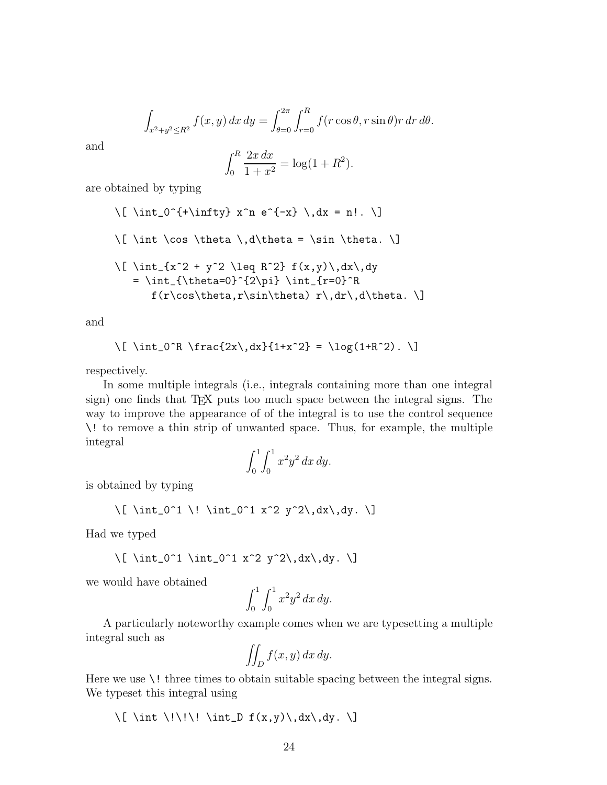$$
\int_{x^2+y^2\leq R^2} f(x,y) dx dy = \int_{\theta=0}^{2\pi} \int_{r=0}^R f(r\cos\theta, r\sin\theta) r dr d\theta.
$$

and

$$
\int_0^R \frac{2x \, dx}{1 + x^2} = \log(1 + R^2).
$$

are obtained by typing

\[ \int\_0^{+\infty} x^n e^{-x} \,dx = n!. \] \[ \int \cos \theta \,d\theta = \sin \theta. \] \[ \int\_{x^2 + y^2 \leq R^2} f(x,y)\,dx\,dy = \int\_{\theta=0}^{2\pi} \int\_{r=0}^R f(r\cos\theta,r\sin\theta) r\,dr\,d\theta. \]

and

$$
\{ [ \int_0^R \frac{2x}{dx}^{1+x^2} = \log(1+R^2) . \ ]
$$

respectively.

In some multiple integrals (i.e., integrals containing more than one integral sign) one finds that T<sub>E</sub>X puts too much space between the integral signs. The way to improve the appearance of of the integral is to use the control sequence \! to remove a thin strip of unwanted space. Thus, for example, the multiple integral

$$
\int_0^1 \int_0^1 x^2 y^2 dx dy.
$$

is obtained by typing

\[ \int\_0^1 \! \int\_0^1 x^2 y^2\,dx\,dy. \]

Had we typed

$$
\[\int \int_0^1 \int_0^1 x^2 y^2\, dx\, dy. \]
$$

we would have obtained

$$
\int_0^1 \int_0^1 x^2 y^2 dx dy.
$$

A particularly noteworthy example comes when we are typesetting a multiple integral such as

$$
\iint_D f(x, y) \, dx \, dy.
$$

Here we use  $\setminus$ ! three times to obtain suitable spacing between the integral signs. We typeset this integral using

 $\[\ \int \int \int \cdot l \cdot \cdot \cdot D f(x,y) \, dx \, dy. \]\]$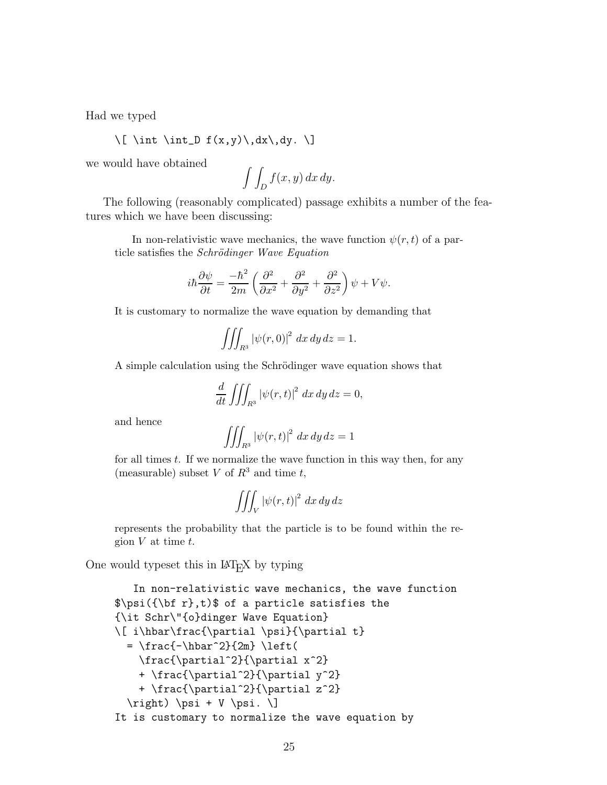Had we typed

$$
\[\int \int \int D f(x,y), dx\, dy. \]
$$

we would have obtained

$$
\int \int_D f(x, y) \, dx \, dy.
$$

The following (reasonably complicated) passage exhibits a number of the features which we have been discussing:

In non-relativistic wave mechanics, the wave function  $\psi(r, t)$  of a particle satisfies the *Schrödinger Wave Equation* 

$$
i\hbar\frac{\partial\psi}{\partial t} = \frac{-\hbar^2}{2m}\left(\frac{\partial^2}{\partial x^2} + \frac{\partial^2}{\partial y^2} + \frac{\partial^2}{\partial z^2}\right)\psi + V\psi.
$$

It is customary to normalize the wave equation by demanding that

$$
\iiint_{R^3} |\psi(r,0)|^2 dx dy dz = 1.
$$

A simple calculation using the Schrödinger wave equation shows that

$$
\frac{d}{dt} \iiint_{R^3} \left| \psi(r,t) \right|^2 dx dy dz = 0,
$$

and hence

$$
\iiint_{R^3} |\psi(r,t)|^2 dx dy dz = 1
$$

for all times  $t$ . If we normalize the wave function in this way then, for any (measurable) subset V of  $R^3$  and time t,

$$
\iiint_V |\psi(r,t)|^2 dx dy dz
$$

represents the probability that the particle is to be found within the region  $V$  at time  $t$ .

One would typeset this in  $\mathbb{A}T_FX$  by typing

```
In non-relativistic wave mechanics, the wave function
\psi(s) \{ \bf b} \cdot r \}, \phi(s) of a particle satisfies the
{\it Schr\"{o}dinger Wave Equation}
\[ i\hbar\frac{\partial \psi}{\partial t}
 = \frac{-\hbar^2}{2m} \left(\frac{\partial^2}{\partial x^2}
    + \frac{\partial^2}{\partial y^2}
    + \frac{\partial^2}{\partial z^2}
  \right) \psi + V \psi. \iIt is customary to normalize the wave equation by
```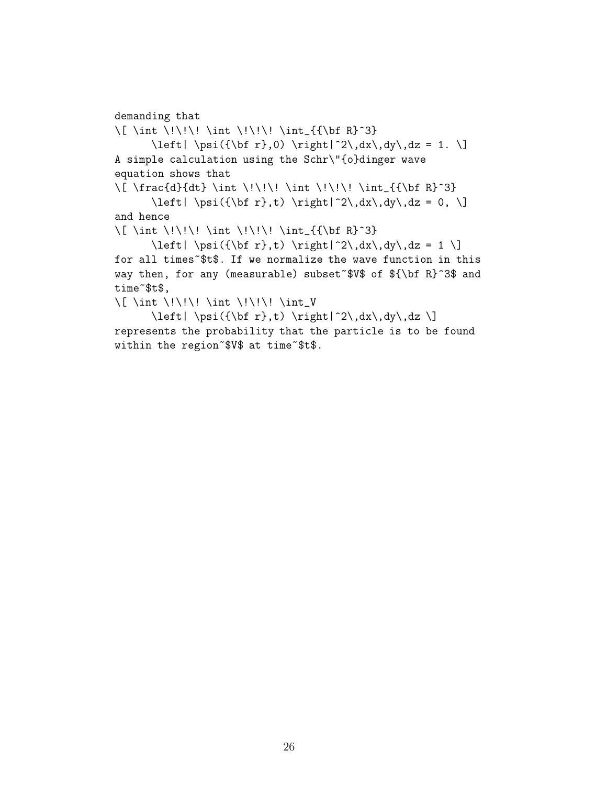demanding that

 $\[\ \int \int \left \frac{\{\bf R}^3}{\bf R} \]$ 

\left| \psi({\bf r},0) \right|^2\,dx\,dy\,dz = 1. \] A simple calculation using the Schr\"{o}dinger wave equation shows that

\[ \frac{d}{dt} \int \!\!\! \int \!\!\! \int\_{{\bf R}^3}

\left| \psi({\bf r},t) \right|^2\,dx\,dy\,dz = 0, \] and hence

 $\[\ \int \int \left \frac{\sqrt{t} - t}{t} \cdot \int \left \frac{t}{t} R^3}$ 

\left| \psi({\bf r},t) \right|^2\,dx\,dy\,dz = 1 \] for all times~\$t\$. If we normalize the wave function in this way then, for any (measurable) subset~\$V\$ of \${\bf R}^3\$ and time~\$t\$,

\[ \int \!\!\! \int \!\!\! \int\_V

\left| \psi({\bf r},t) \right|^2\,dx\,dy\,dz \] represents the probability that the particle is to be found within the region~\$V\$ at time~\$t\$.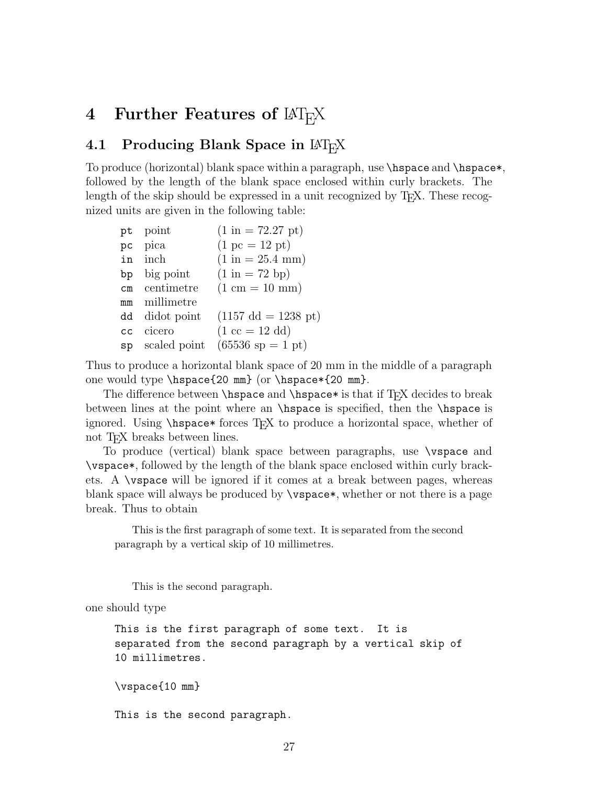# **4** Further Features of  $\text{MTEX}$

# **4.1 Producing Blank Space in LAT<sub>E</sub>X**

To produce (horizontal) blank space within a paragraph, use \hspace and \hspace\*, followed by the length of the blank space enclosed within curly brackets. The length of the skip should be expressed in a unit recognized by T<sub>E</sub>X. These recognized units are given in the following table:

|    | pt point       | $(1 \text{ in} = 72.27 \text{ pt})$   |
|----|----------------|---------------------------------------|
| pc | pica           | $(1 pc = 12 pt)$                      |
|    | in inch        | $(1 \text{ in} = 25.4 \text{ mm})$    |
| bp | big point      | $(1 \text{ in} = 72 \text{ bp})$      |
|    | cm centimetre  | $(1 cm = 10 mm)$                      |
| mm | millimetre     |                                       |
|    | dd didot point | $(1157 \text{ dd} = 1238 \text{ pt})$ |
| cc | cicero         | $(1 \text{ cc} = 12 \text{ dd})$      |
| sp | scaled point   | $(65536 \text{ sp} = 1 \text{ pt})$   |

Thus to produce a horizontal blank space of 20 mm in the middle of a paragraph one would type \hspace{20 mm} (or \hspace\*{20 mm}.

The difference between  $\hbar$ space and  $\hbar$ space\* is that if T<sub>EX</sub> decides to break between lines at the point where an \hspace is specified, then the \hspace is ignored. Using \hspace\* forces TEX to produce a horizontal space, whether of not T<sub>F</sub>X breaks between lines.

To produce (vertical) blank space between paragraphs, use \vspace and \vspace\*, followed by the length of the blank space enclosed within curly brackets. A \vspace will be ignored if it comes at a break between pages, whereas blank space will always be produced by \vspace\*, whether or not there is a page break. Thus to obtain

This is the first paragraph of some text. It is separated from the second paragraph by a vertical skip of 10 millimetres.

This is the second paragraph.

one should type

This is the first paragraph of some text. It is separated from the second paragraph by a vertical skip of 10 millimetres.

\vspace{10 mm}

This is the second paragraph.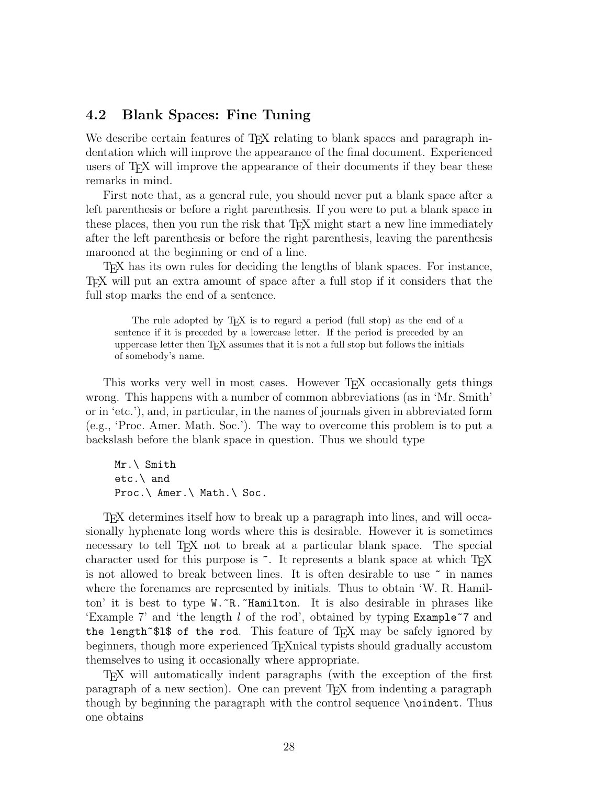#### **4.2 Blank Spaces: Fine Tuning**

We describe certain features of T<sub>F</sub>X relating to blank spaces and paragraph indentation which will improve the appearance of the final document. Experienced users of T<sub>E</sub>X will improve the appearance of their documents if they bear these remarks in mind.

First note that, as a general rule, you should never put a blank space after a left parenthesis or before a right parenthesis. If you were to put a blank space in these places, then you run the risk that T<sub>EX</sub> might start a new line immediately after the left parenthesis or before the right parenthesis, leaving the parenthesis marooned at the beginning or end of a line.

TEX has its own rules for deciding the lengths of blank spaces. For instance, TEX will put an extra amount of space after a full stop if it considers that the full stop marks the end of a sentence.

The rule adopted by T<sub>E</sub>X is to regard a period (full stop) as the end of a sentence if it is preceded by a lowercase letter. If the period is preceded by an uppercase letter then  $T_{\text{F}}X$  assumes that it is not a full stop but follows the initials of somebody's name.

This works very well in most cases. However TEX occasionally gets things wrong. This happens with a number of common abbreviations (as in 'Mr. Smith' or in 'etc.'), and, in particular, in the names of journals given in abbreviated form (e.g., 'Proc. Amer. Math. Soc.'). The way to overcome this problem is to put a backslash before the blank space in question. Thus we should type

Mr.\ Smith etc.\ and Proc. \ Amer. \ Math. \ Soc.

TEX determines itself howto break up a paragraph into lines, and will occasionally hyphenate long words where this is desirable. However it is sometimes necessary to tell T<sub>EX</sub> not to break at a particular blank space. The special character used for this purpose is  $\tilde{\cdot}$ . It represents a blank space at which T<sub>E</sub>X is not allowed to break between lines. It is often desirable to use  $\tilde{\ }$  in names where the forenames are represented by initials. Thus to obtain 'W. R. Hamilton' it is best to type W.~R.~Hamilton. It is also desirable in phrases like 'Example 7' and 'the length l of the rod', obtained by typing Example~7 and the length~\$1\$ of the rod. This feature of  $T_{F}X$  may be safely ignored by beginners, though more experienced T<sub>E</sub>Xnical typists should gradually accustom themselves to using it occasionally where appropriate.

TEX will automatically indent paragraphs (with the exception of the first paragraph of a new section). One can prevent T<sub>E</sub>X from indenting a paragraph though by beginning the paragraph with the control sequence \noindent. Thus one obtains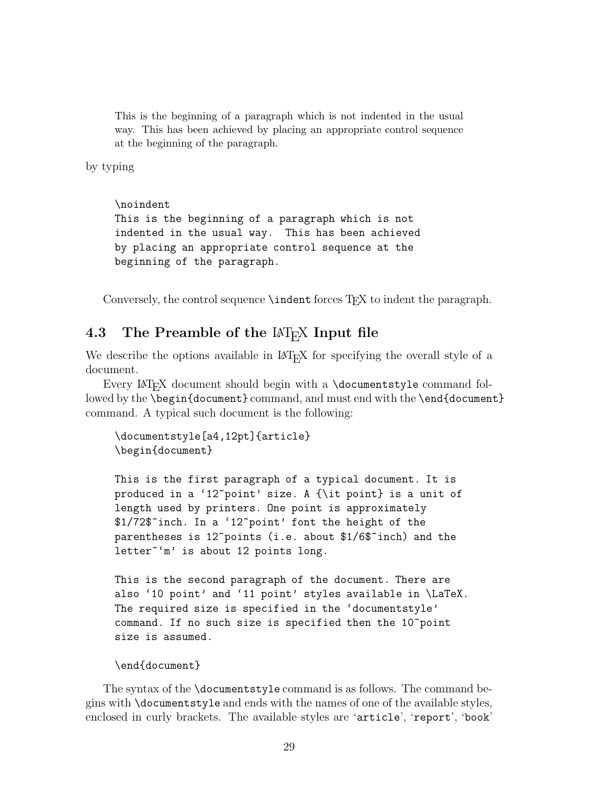This is the beginning of a paragraph which is not indented in the usual way. This has been achieved by placing an appropriate control sequence at the beginning of the paragraph.

by typing

\noindent This is the beginning of a paragraph which is not indented in the usual way. This has been achieved by placing an appropriate control sequence at the beginning of the paragraph.

Conversely, the control sequence **\indent** forces T<sub>E</sub>X to indent the paragraph.

#### **4.3** The Preamble of the LAT<sub>E</sub>X Input file

We describe the options available in  $\mathbb{A}T_FX$  for specifying the overall style of a document.

Every  $\Delta T_F X$  document should begin with a \documentstyle command followed by the \begin{document} command, and must end with the \end{document} command. A typical such document is the following:

```
\documentstyle[a4,12pt]{article}
\begin{document}
```
This is the first paragraph of a typical document. It is produced in a '12~point' size. A {\it point} is a unit of length used by printers. One point is approximately \$1/72\$~inch. In a '12~point' font the height of the parentheses is 12~points (i.e. about \$1/6\$~inch) and the letter<sup>"'m</sup>' is about 12 points long.

This is the second paragraph of the document. There are also '10 point' and '11 point' styles available in \LaTeX. The required size is specified in the 'documentstyle' command. If no such size is specified then the 10<sup>\*</sup>point size is assumed.

#### \end{document}

The syntax of the \documentstyle command is as follows. The command begins with \documentstyle and ends with the names of one of the available styles, enclosed in curly brackets. The available styles are 'article', 'report', 'book'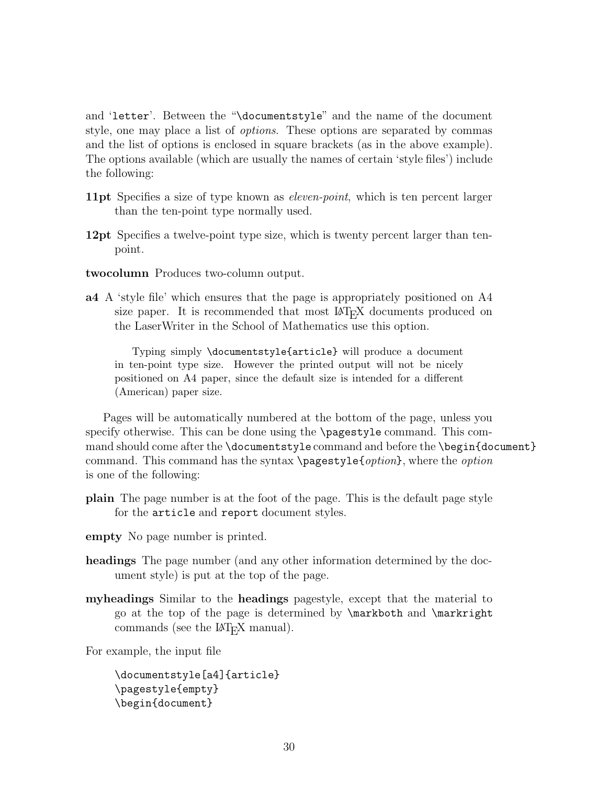and 'letter'. Between the "\documentstyle" and the name of the document style, one may place a list of *options*. These options are separated by commas and the list of options is enclosed in square brackets (as in the above example). The options available (which are usually the names of certain 'style files') include the following:

- **11pt** Specifies a size of type known as *eleven-point*, which is ten percent larger than the ten-point type normally used.
- **12pt** Specifies a twelve-point type size, which is twenty percent larger than tenpoint.

**twocolumn** Produces two-column output.

**a4** A 'style file' which ensures that the page is appropriately positioned on A4 size paper. It is recommended that most  $\mathbb{A}T_FX$  documents produced on the LaserWriter in the School of Mathematics use this option.

Typing simply \documentstyle{article} will produce a document in ten-point type size. However the printed output will not be nicely positioned on A4 paper, since the default size is intended for a different (American) paper size.

Pages will be automatically numbered at the bottom of the page, unless you specify otherwise. This can be done using the \pagestyle command. This command should come after the \documentstyle command and before the \begin{document} command. This command has the syntax \pagestyle{*option*}, where the *option* is one of the following:

- **plain** The page number is at the foot of the page. This is the default page style for the article and report document styles.
- **empty** No page number is printed.
- **headings** The page number (and any other information determined by the document style) is put at the top of the page.
- **myheadings** Similar to the **headings** pagestyle, except that the material to go at the top of the page is determined by \markboth and \markright commands (see the  $\text{LAT}$ <sub>EX</sub> manual).

For example, the input file

```
\documentstyle[a4]{article}
\pagestyle{empty}
\begin{document}
```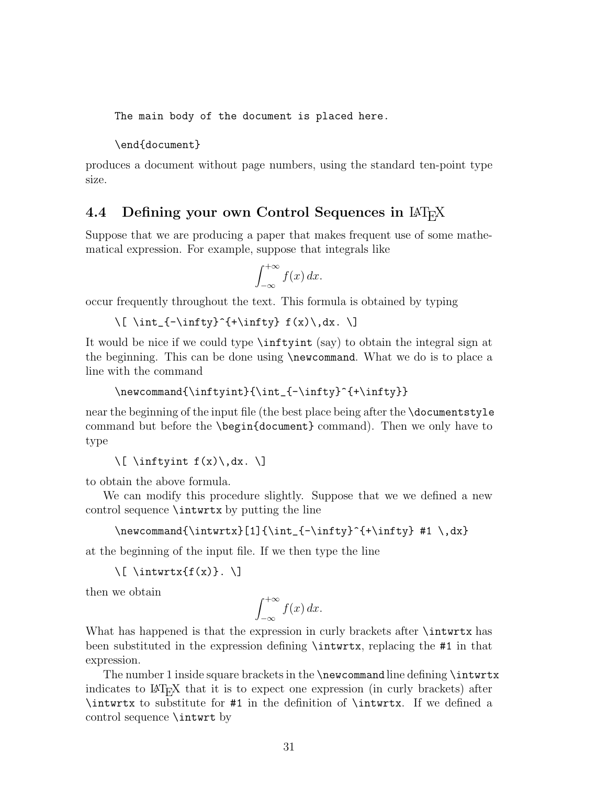The main body of the document is placed here.

\end{document}

produces a document without page numbers, using the standard ten-point type size.

#### **4.4 Defining your own Control Sequences in LAT<sub>E</sub>X**

Suppose that we are producing a paper that makes frequent use of some mathematical expression. For example, suppose that integrals like

$$
\int_{-\infty}^{+\infty} f(x) \, dx.
$$

occur frequently throughout the text. This formula is obtained by typing

 $\[\int_{- \infty}^+ \infty] f(x)\, dx. \]$ 

It would be nice if we could type \inftyint (say) to obtain the integral sign at the beginning. This can be done using  $\newcommand{\ab}{}{\mathfrak{B}}$  and What we do is to place a line with the command

```
\newcommand{\inftyint}{\int_{-\infty}^{+\infty}}
```
near the beginning of the input file (the best place being after the \documentstyle command but before the \begin{document} command). Then we only have to type

 $\[\int \int \int \int f(x) \, dx\]$ 

to obtain the above formula.

We can modify this procedure slightly. Suppose that we we defined a new control sequence \intwrtx by putting the line

```
\newcommand{\int{\int{x}}{1}_{\int_{-{\infty}}^{+}\infty} #1 \, \, dx}
```
at the beginning of the input file. If we then type the line

```
\[ \intwrtx{f(x)}. \]
```
then we obtain

$$
\int_{-\infty}^{+\infty} f(x) \, dx.
$$

What has happened is that the expression in curly brackets after **\intwrtx** has been substituted in the expression defining \intwrtx, replacing the #1 in that expression.

The number 1 inside square brackets in the **\newcommand** line defining **\intwrtx** indicates to  $\Delta T_F X$  that it is to expect one expression (in curly brackets) after \intwrtx to substitute for #1 in the definition of \intwrtx. If we defined a control sequence \intwrt by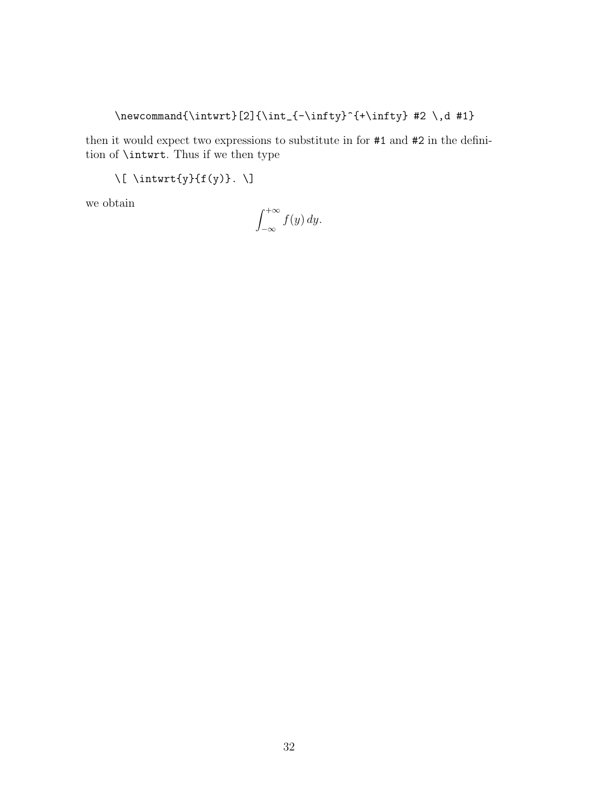# \newcommand{\intwrt}[2]{\int\_{-\infty}^{+\infty} #2 \,d #1}

then it would expect two expressions to substitute in for #1 and #2 in the definition of  $\int$  . Thus if we then type

 $\[\ \int \int \int \int \int f(y) dx\]$ 

we obtain

$$
\int_{-\infty}^{+\infty} f(y) \, dy.
$$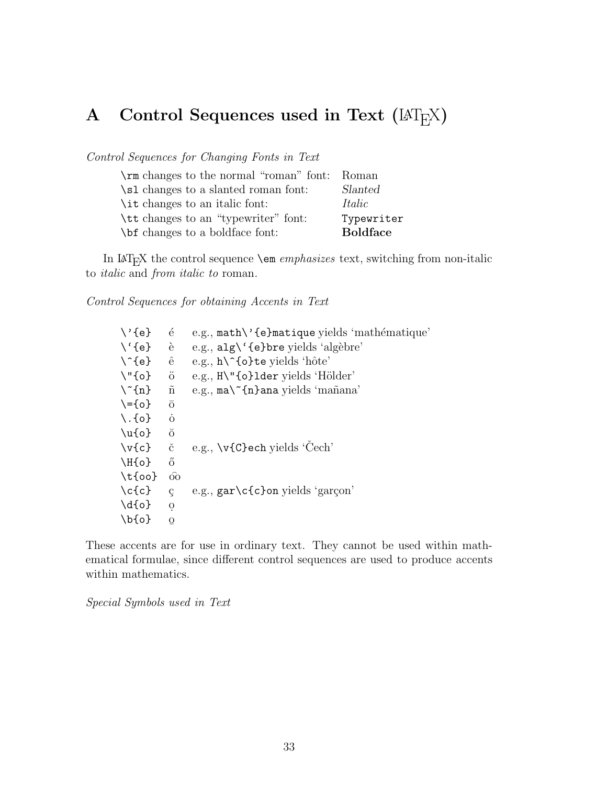# A Control Sequences used in Text ( $\text{[ATEX}$ )

*Control Sequences for Changing Fonts in Text*

| \rm changes to the normal "roman" font: Roman |                 |
|-----------------------------------------------|-----------------|
| \sl changes to a slanted roman font:          | Slanted         |
| \ <i>it</i> changes to an italic font:        | Italic          |
| \tt changes to an "typewriter" font:          | Typewriter      |
| \bit changes to a boldface font:              | <b>Boldface</b> |

In LaTEX the control sequence \em *emphasizes* text, switching from non-italic to *italic* and *from italic to* roman*.*

*Control Sequences for obtaining Accents in Text*

| $\backslash$ '{e}         | $\acute{\text{e}}$   | e.g., math\'{e}matique yields 'mathématique' |
|---------------------------|----------------------|----------------------------------------------|
| $\setminus \{e\}$         | è                    | e.g., $alg \' \{e\}$ bre yields 'algèbre'    |
| $\backslash$ {e}          | ê                    | e.g., $h \in \{o\}$ te yields 'hôte'         |
| $\Upsilon$ "{o}           | $\ddot{\mathrm{o}}$  | e.g., $H\Upsilon$ (o}lder yields 'Hölder'    |
| $\langle \hat{n} \rangle$ | $\tilde{n}$          | e.g., ma\~{n}ana yields 'mañana'             |
| $\{-\{o\}$                | $\overline{O}$       |                                              |
| $\setminus$ . {o}         | $\Omega$             |                                              |
| $\u{o}$                   | $\breve{\mathrm{o}}$ |                                              |
| $\forall v\{c\}$          | č                    | e.g., \v{C}ech yields 'Cech'                 |
| $\H{o}$                   | ő                    |                                              |
| $\text{tdo}$              | $\widehat{O}O$       |                                              |
| $\c{c}$                   | ç                    | e.g., $gar\c\{c\}$ on yields 'garçon'        |
| $\{d\{o\}$                | $\mathcal{O}$        |                                              |
| $\bf \delta$              | O                    |                                              |
|                           |                      |                                              |

These accents are for use in ordinary text. They cannot be used within mathematical formulae, since different control sequences are used to produce accents within mathematics.

*Special Symbols used in Text*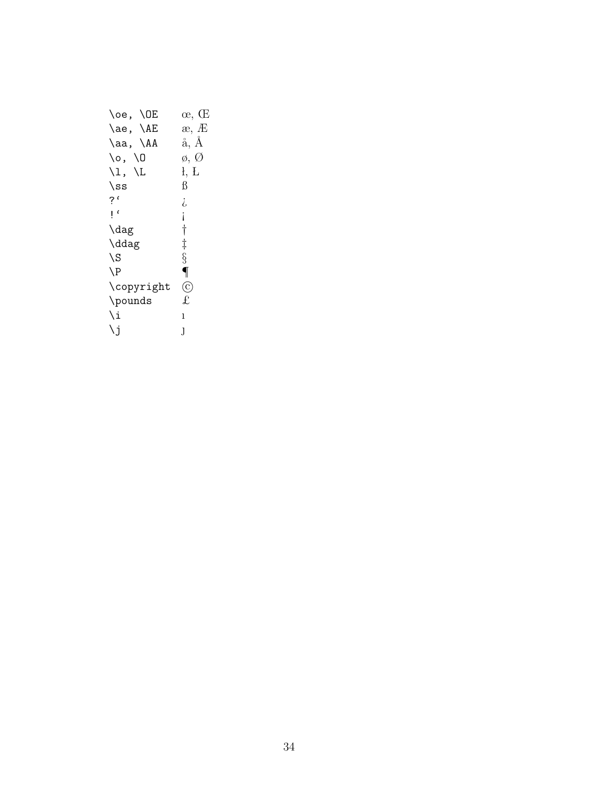| œ, Œ              |
|-------------------|
| æ, Æ              |
| å, Å              |
| ø, Ø              |
| ł, Ł              |
| ß                 |
| i                 |
| i.                |
| $^\dagger$        |
| $\ddagger$        |
| ş                 |
| $\P$              |
| $\left( 6\right)$ |
| £                 |
| ı                 |
| J                 |
|                   |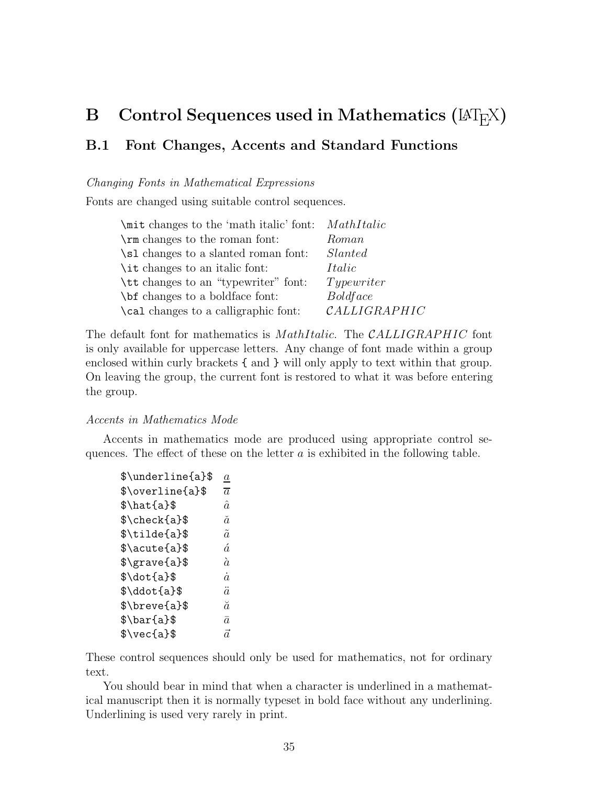# **B** Control Sequences used in Mathematics ( $\text{[ATEX]}$ )

# **B.1 Font Changes, Accents and Standard Functions**

#### *Changing Fonts in Mathematical Expressions*

Fonts are changed using suitable control sequences.

| \mit changes to the 'math italic' font: <i>MathItalic</i> |                     |
|-----------------------------------------------------------|---------------------|
| \rm changes to the roman font:                            | Roman               |
| \sl changes to a slanted roman font:                      | Slanted             |
| \it changes to an italic font:                            | Italic              |
| \tt changes to an "typewriter" font:                      | Typewriter          |
| \bet changes to a boldface font:                          | <i>Boldface</i>     |
| \cal changes to a calligraphic font:                      | <b>CALLIGRAPHIC</b> |

The default font for mathematics is *MathItalic*. The *CALLIGRAPHIC* font is only available for uppercase letters. Any change of font made within a group enclosed within curly brackets { and } will only apply to text within that group. On leaving the group, the current font is restored to what it was before entering the group.

#### *Accents in Mathematics Mode*

Accents in mathematics mode are produced using appropriate control sequences. The effect of these on the letter  $a$  is exhibited in the following table.

| \$\underline{a}\$      | $\it a$        |
|------------------------|----------------|
| \$\overline{a}\$       | $\overline{a}$ |
| $\hat{\alpha}$         | $\hat{a}$      |
| \$\check{a}\$          | ă              |
| $\tilde{\xi}$          | $\tilde{a}$    |
| \$\acute{a}\$          | á              |
| \$\grave{a}\$          | $\alpha$       |
| $\dot{\$}\dot{\$}$     | $\dot{a}$      |
| \$\ddot{a}\$           | $\ddot{a}$     |
| $\theta$ } \breve{a}\$ | ă              |
| $\bar{\mathcal{S}}$    | $\bar{a}$      |
| $\text{Veca}$          | $\vec{a}$      |
|                        |                |

These control sequences should only be used for mathematics, not for ordinary text.

You should bear in mind that when a character is underlined in a mathematical manuscript then it is normally typeset in bold face without any underlining. Underlining is used very rarely in print.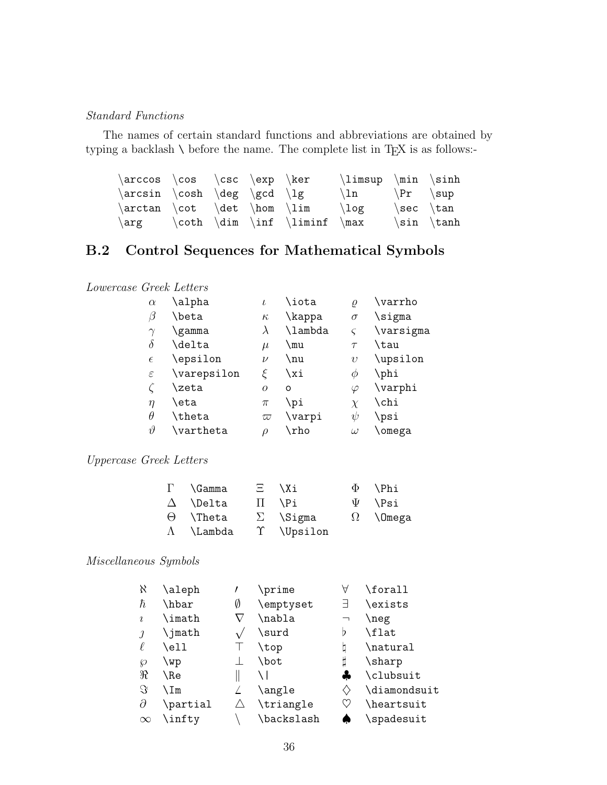#### *Standard Functions*

The names of certain standard functions and abbreviations are obtained by typing a backlash  $\setminus$  before the name. The complete list in T<sub>E</sub>X is as follows:-

| $\arccos \cos \csc \exp \ker$ |  |                                              | $\limsup$ $\min$ $\sinh$    |               |                |
|-------------------------------|--|----------------------------------------------|-----------------------------|---------------|----------------|
| $\arcsin \cosh \deg \gcd \lg$ |  |                                              | $\ln \quad \text{Pr} \quad$ |               |                |
|                               |  | $\arctan \cot \det \hom \lim \Big($          |                             | $\sec \ \tan$ |                |
|                               |  | $\arg \ {\coth \dim \int \lim_{\infty} \max$ |                             |               | $\sin \ \tanh$ |

# **B.2 Control Sequences for Mathematical Symbols**

| Lowercase Greek Letters |
|-------------------------|
|                         |

| $\alpha$      | \alpha      | $\iota$   | \iota    | $\rho$      | \varrho   |
|---------------|-------------|-----------|----------|-------------|-----------|
| $\beta$       | \beta       | $\kappa$  | \kappa   | $\sigma$    | \sigma    |
| $\gamma$      | \gamma      | $\lambda$ | \lambda  | $\varsigma$ | \varsigma |
| $\delta$      | \delta      | $\mu$     | \mu      | $\tau$      | \tau      |
| $\epsilon$    | \epsilon    | $\nu$     | \nu      | $\upsilon$  | \upsilon  |
| $\varepsilon$ | \varepsilon | ε         | \xi      | Ф           | \phi      |
|               | \zeta       | $\Omega$  | $\Omega$ | $\varphi$   | \varphi   |
| $\eta$        | \eta        | $\pi$     | \pi      | $\chi$      | \chi      |
| $\theta$      | \theta      | $\varpi$  | \varpi   | ψ           | \psi      |
| $\vartheta$   | \vartheta   | D         | \rho     | $\omega$    | \omega    |

#### *Uppercase Greek Letters*

| $\Gamma$ \Gamma   |              | $\Xi$ \Xi       | $\Phi$ \Phi     |
|-------------------|--------------|-----------------|-----------------|
| $\Delta$ \Delta   | $\mathbf{H}$ | ∖Pi             | $\Psi$ \Psi     |
| $\Theta$ \Theta   |              | $\Sigma$ \Sigma | $\Omega$ \Omega |
| $\Lambda$ \Lambda |              | ↑ \Upsilon      |                 |

#### *Miscellaneous Symbols*

| $\aleph$   | \aleph          |   | \prime     | Α                        | \forall      |
|------------|-----------------|---|------------|--------------------------|--------------|
| $\hbar$    | \hbar           | Ø | \emptyset  | 극                        | \exists      |
| $\iota$    | $\lambda$ imath |   | \nabla     | $\overline{\phantom{a}}$ | \neg         |
| $\jmath$   | \jmath          |   | \surd      | Þ                        | \flat        |
|            | \ell            |   | \top       | D                        | \natural     |
| $\wp$      | \wp             |   | \bot       |                          | \sharp       |
| $\Re$      | \Re             |   |            | ÷                        | \clubsuit    |
| $\Im$      | ∖Im             |   | \angle     |                          | \diamondsuit |
| $\partial$ | \partial        |   | \triangle  |                          | heartsuit\   |
| $\infty$   | \infty          |   | \backslash |                          | \spadesuit   |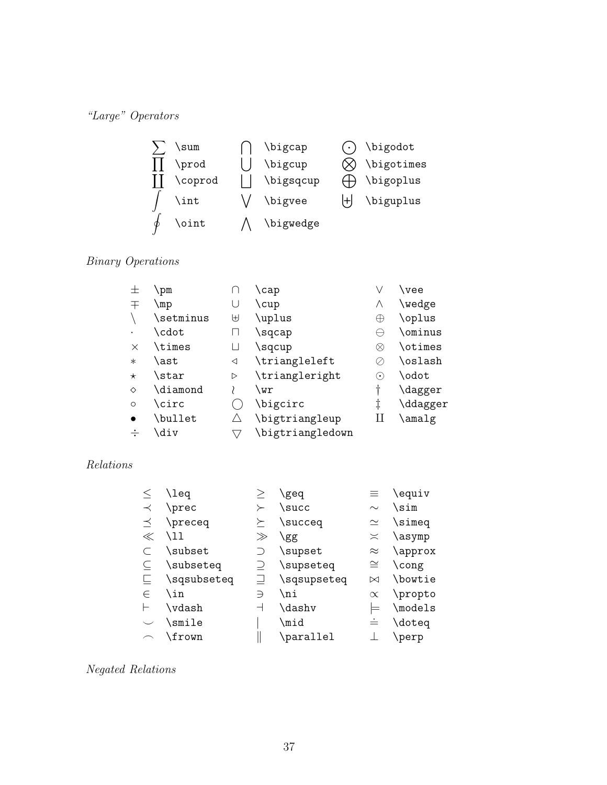*"Large" Operators*



### *Binary Operations*

| \pm       |                  | \cap             | V                      | \vee                     |
|-----------|------------------|------------------|------------------------|--------------------------|
| \mp       | U                | \cup             | Λ                      | \wedge                   |
| \setminus | ⊎                | \uplus           | ₩                      | \oplus                   |
| \cdot     | ΙI               | \sqcap           |                        | \ominus                  |
| \times    | $\mathsf{L}$     | \sqcup           | ⊗                      | \otimes                  |
| \ast      | ◁                | \triangleleft    |                        | \oslash                  |
| \star     | $\triangleright$ | \triangleright   | $(\boldsymbol{\cdot})$ | \odot                    |
| \diamond  |                  | \wr              | ╁                      | $\langle$ dagger         |
| \circ     |                  | \bigcirc         | $\ddagger$             | \ddagger                 |
| \bullet   | Δ                | \bigtriangleup   |                        | $\langle \texttt{amalg}$ |
| \div      |                  | \bigtriangledown |                        |                          |
|           |                  |                  |                        |                          |

### *Relations*

| $\leq$  | \leq        | >       | \geq        |           | \equiv  |
|---------|-------------|---------|-------------|-----------|---------|
| $\prec$ | \prec       | ≻       | \succ       | $\sim$    | \sim    |
| ≺       | \preceq     | $\succ$ | \succeq     | $\simeq$  | \simeq  |
| $\ll$   | \11         | $\gg$   | \gg         | $\asymp$  | \asymp  |
|         | \subset     |         | \supset     | $\approx$ | \approx |
|         | \subseteq   |         | \supseteq   | $\cong$   | \cong   |
|         | \sqsubseteq |         | \sqsupseteq | $\bowtie$ | \bowtie |
| $\in$   | \in         | ∍       | \ni         | $\propto$ | \propto |
|         | \vdash      | ᅥ       | \dashv      |           | \models |
|         | \smile      |         | \mid        | $\dot{=}$ | \doteq  |
|         | \frown      |         | \parallel   |           | \perp   |

### *Negated Relations*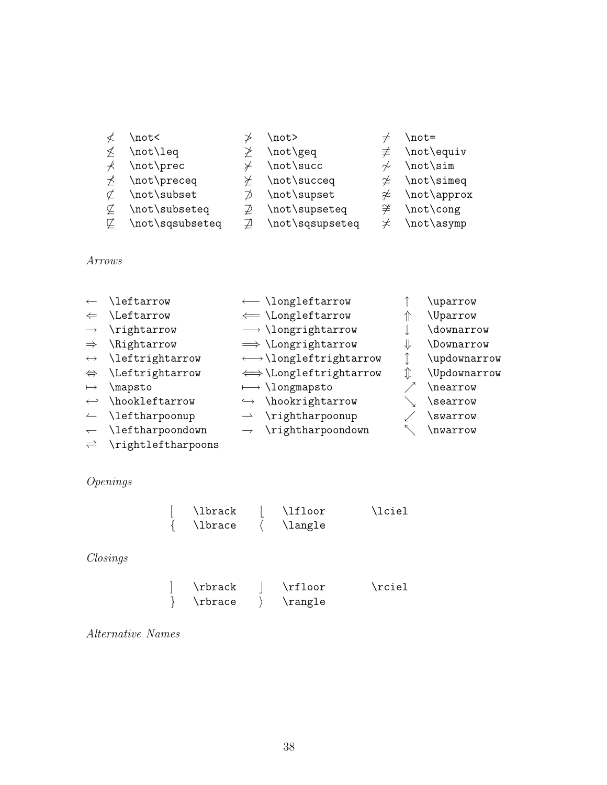38

*Alternative Names*

*Closings*

*Openings*

- ] \rbrack | \rfloor \rciel
- $\{\n\}$ lbrace  $\{\n\}$ langle
- 

} \rbrace } \rangle

- 
- 
- 
- 
- 
- $\begin{array}{c} \begin{array}{c} \end{array}$
- 
- Z \leftharpoondown [ \rightharpoondown y \nwarrow  $\Rightarrow$  \rightleftharpoons
- ⇐ \Leftarrow ⇐= \Longleftarrow ⇑ \Uparrow → \rightarrow → \longrightarrow  $\downarrow$  \downarrow ⇒ \Rightarrow =⇒ \Longrightarrow ⇓ \Downarrow ←→ \leftrightarrow ←→\longleftrightarrow 1 \updownarrow ⇔ \Leftrightarrow ⇐⇒\Longleftrightarrow t \Updownarrow  $\mapsto$  \mapsto  $\mapsto$  \longmapsto  $\nearrow$  \nearrow  $\leftrightarrow \text{hookleftarrow} \leftrightarrow \text{hookrightarrow} \$  $\angle$  \leftharpoonup  $\rightarrow$  \rightharpoonup  $\angle$  \swarrow

← \leftarrow ← \longleftarrow ↑ \uparrow

- *Arrows*
- $\not\preceq$  \not\preceq  $\not\preceq$ \not\succeq  $\gamma$ \not\simeq  $\overline{a}$  $\emptyset$  \not\subset  $\emptyset$  $\not\hbox{\scriptsize\textsf{\sim}}$ ≈ \not\approx  $\overline{a}$ ⊆ \not\subseteq ⊇ \not\supseteq ≇ <sup>∼</sup><sup>=</sup> \not\cong  $\not\sqsubseteq$  \not\sqsubseteq  $\mathbb Z$  $\not\in\$
- $\not\leq$  \not<  $\not\geq$  $\measuredangle$  \not\leq  $\measuredangle$  $\overline{\star}$  \not\prec  $\overline{\star}$ 
	-
- $\infty$   $\neq$ 
	- \not\asymp
	-
- - $\n\cdot \quad \gamma$ ∼ \not\sim
	- $\not\geq$ ≡ \not\equiv
- = \not=
-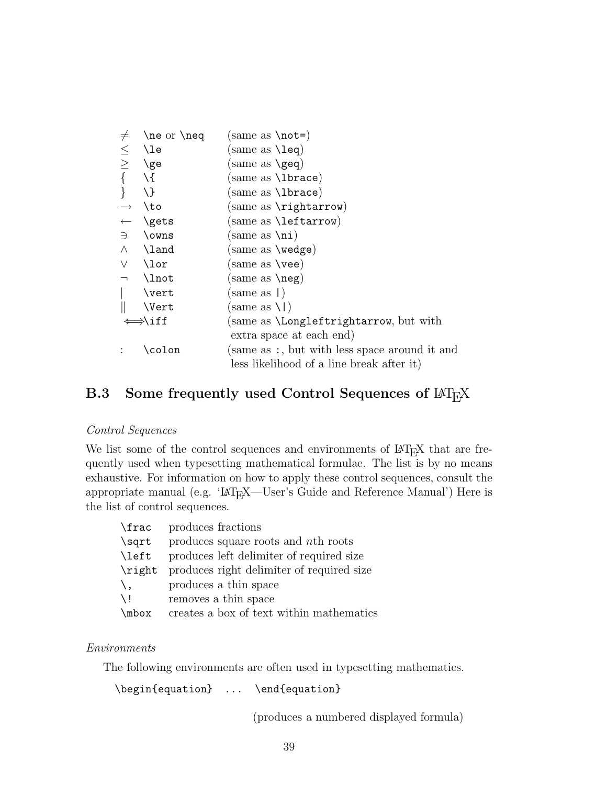| $\neq$            | $\neq$ or $\neq$   | (same as $\text{not=}$ )                       |
|-------------------|--------------------|------------------------------------------------|
|                   | \le                | (same as $\leq$ 1eq)                           |
| $\leq$            | ∖ge                | $(same as \geq)$                               |
|                   | $\setminus$        | (same as <b>\lbrace</b> )                      |
| $\}$              | $\setminus$        | (same as <b>\lbrace</b> )                      |
| $\longrightarrow$ | \to                | $(same as \rightarrow \rightarrow)$            |
| $\longleftarrow$  | \gets              | $(same as \left\{\texttt{bary}\right\})$       |
| $\supset$         | \owns              | $(same as \n\in)$                              |
| $\wedge$          | \land              | (same as \wedge)                               |
| V                 | \lor               | (same as <b>\vee</b> )                         |
|                   | $\neg$ \lnot       | (same as $\neq$ )                              |
| $\mathbb{R}$      | $\sqrt{vert}$      | $(same as \)$                                  |
|                   | \Vert              | $(same as \1)$                                 |
|                   | $\Rightarrow$ \iff | (same as <b>\Longleftrightarrow</b> , but with |
|                   |                    | extra space at each end)                       |
|                   | \colon             | (same as:, but with less space around it and   |
|                   |                    | less likelihood of a line break after it)      |

# **B.3** Some frequently used Control Sequences of  $\text{LAT}_E X$

#### *Control Sequences*

We list some of the control sequences and environments of  $\mathbb{A}T_{E}X$  that are frequently used when typesetting mathematical formulae. The list is by no means exhaustive. For information on howto apply these control sequences, consult the appropriate manual (e.g. 'IATEX—User's Guide and Reference Manual') Here is the list of control sequences.

| \frac                | produces fractions                        |
|----------------------|-------------------------------------------|
| \sqrt                | produces square roots and nth roots       |
| \left                | produces left delimiter of required size  |
| $\rightleftharpoons$ | produces right delimiter of required size |
| \,                   | produces a thin space                     |
| \ !                  | removes a thin space                      |
| \mhox                | creates a box of text within mathematics  |

#### *Environments*

The following environments are often used in typesetting mathematics.

\begin{equation} ... \end{equation}

(produces a numbered displayed formula)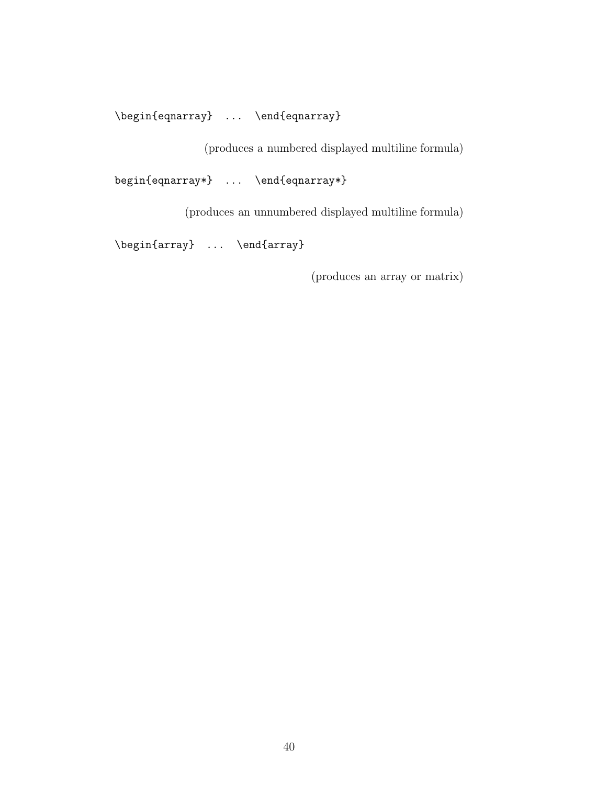\begin{eqnarray} ... \end{eqnarray}

(produces a numbered displayed multiline formula)

begin{eqnarray\*} ... \end{eqnarray\*}

(produces an unnumbered displayed multiline formula)

\begin{array} ... \end{array}

(produces an array or matrix)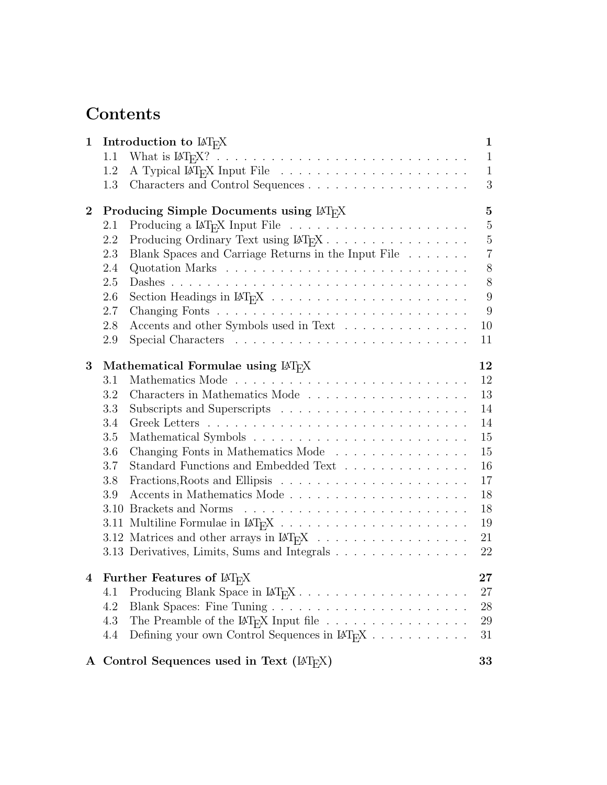# **Contents**

| Introduction to LAT <sub>E</sub> X                         | $\mathbf 1$                                                                                                                                                                                                                                                                                                                                                                                                                                                                                                                                                                                                                                                                                                       |
|------------------------------------------------------------|-------------------------------------------------------------------------------------------------------------------------------------------------------------------------------------------------------------------------------------------------------------------------------------------------------------------------------------------------------------------------------------------------------------------------------------------------------------------------------------------------------------------------------------------------------------------------------------------------------------------------------------------------------------------------------------------------------------------|
| 1.1                                                        | $\mathbf{1}$                                                                                                                                                                                                                                                                                                                                                                                                                                                                                                                                                                                                                                                                                                      |
| 1.2                                                        | $\mathbf{1}$                                                                                                                                                                                                                                                                                                                                                                                                                                                                                                                                                                                                                                                                                                      |
| 1.3                                                        | 3                                                                                                                                                                                                                                                                                                                                                                                                                                                                                                                                                                                                                                                                                                                 |
|                                                            | $\bf{5}$                                                                                                                                                                                                                                                                                                                                                                                                                                                                                                                                                                                                                                                                                                          |
| 2.1                                                        | $\overline{5}$                                                                                                                                                                                                                                                                                                                                                                                                                                                                                                                                                                                                                                                                                                    |
| 2.2                                                        | $\bf 5$                                                                                                                                                                                                                                                                                                                                                                                                                                                                                                                                                                                                                                                                                                           |
| Blank Spaces and Carriage Returns in the Input File<br>2.3 | $\overline{7}$                                                                                                                                                                                                                                                                                                                                                                                                                                                                                                                                                                                                                                                                                                    |
| 2.4                                                        | 8                                                                                                                                                                                                                                                                                                                                                                                                                                                                                                                                                                                                                                                                                                                 |
| 2.5                                                        | 8                                                                                                                                                                                                                                                                                                                                                                                                                                                                                                                                                                                                                                                                                                                 |
| 2.6                                                        | $9\,$                                                                                                                                                                                                                                                                                                                                                                                                                                                                                                                                                                                                                                                                                                             |
| 2.7                                                        | $9\,$                                                                                                                                                                                                                                                                                                                                                                                                                                                                                                                                                                                                                                                                                                             |
| 2.8                                                        | 10                                                                                                                                                                                                                                                                                                                                                                                                                                                                                                                                                                                                                                                                                                                |
| 2.9                                                        | 11                                                                                                                                                                                                                                                                                                                                                                                                                                                                                                                                                                                                                                                                                                                |
|                                                            | 12                                                                                                                                                                                                                                                                                                                                                                                                                                                                                                                                                                                                                                                                                                                |
|                                                            | 12                                                                                                                                                                                                                                                                                                                                                                                                                                                                                                                                                                                                                                                                                                                |
|                                                            | 13                                                                                                                                                                                                                                                                                                                                                                                                                                                                                                                                                                                                                                                                                                                |
|                                                            | 14                                                                                                                                                                                                                                                                                                                                                                                                                                                                                                                                                                                                                                                                                                                |
|                                                            | 14                                                                                                                                                                                                                                                                                                                                                                                                                                                                                                                                                                                                                                                                                                                |
|                                                            | 15                                                                                                                                                                                                                                                                                                                                                                                                                                                                                                                                                                                                                                                                                                                |
|                                                            | 15                                                                                                                                                                                                                                                                                                                                                                                                                                                                                                                                                                                                                                                                                                                |
|                                                            | 16                                                                                                                                                                                                                                                                                                                                                                                                                                                                                                                                                                                                                                                                                                                |
|                                                            | 17                                                                                                                                                                                                                                                                                                                                                                                                                                                                                                                                                                                                                                                                                                                |
|                                                            | 18                                                                                                                                                                                                                                                                                                                                                                                                                                                                                                                                                                                                                                                                                                                |
| 3.10                                                       | 18                                                                                                                                                                                                                                                                                                                                                                                                                                                                                                                                                                                                                                                                                                                |
|                                                            | 19                                                                                                                                                                                                                                                                                                                                                                                                                                                                                                                                                                                                                                                                                                                |
|                                                            | 21                                                                                                                                                                                                                                                                                                                                                                                                                                                                                                                                                                                                                                                                                                                |
| 3.13 Derivatives, Limits, Sums and Integrals               | 22                                                                                                                                                                                                                                                                                                                                                                                                                                                                                                                                                                                                                                                                                                                |
|                                                            | $27\,$                                                                                                                                                                                                                                                                                                                                                                                                                                                                                                                                                                                                                                                                                                            |
|                                                            | 27                                                                                                                                                                                                                                                                                                                                                                                                                                                                                                                                                                                                                                                                                                                |
|                                                            | 28                                                                                                                                                                                                                                                                                                                                                                                                                                                                                                                                                                                                                                                                                                                |
|                                                            | 29                                                                                                                                                                                                                                                                                                                                                                                                                                                                                                                                                                                                                                                                                                                |
| 4.4                                                        | 31                                                                                                                                                                                                                                                                                                                                                                                                                                                                                                                                                                                                                                                                                                                |
| A Control Sequences used in Text (LAT <sub>F</sub> X)      | 33                                                                                                                                                                                                                                                                                                                                                                                                                                                                                                                                                                                                                                                                                                                |
|                                                            | Producing Simple Documents using LAT <sub>E</sub> X<br>Producing Ordinary Text using LAT <sub>E</sub> X<br>Accents and other Symbols used in Text<br>Mathematical Formulae using IAT <sub>F</sub> X<br>3.1<br>3.2<br>3.3<br>3.4<br>3.5<br>Changing Fonts in Mathematics Mode<br>3.6<br>Standard Functions and Embedded Text<br>3.7<br>3.8<br>Accents in Mathematics Mode<br>3.9<br>3.12 Matrices and other arrays in $\mathbb{F}F_{F}X$<br>4 Further Features of $\mathbb{M}_{F}X$<br>4.1<br>4.2<br>The Preamble of the $\mathbb{M} \mathbb{F}_{p}X$ Input file<br>$\hfill\ldots\ldots\ldots\ldots\ldots\ldots\ldots\ldots$<br>4.3<br>Defining your own Control Sequences in $\mathbb{L}\mathrm{T}_{E}\mathrm{X}$ |